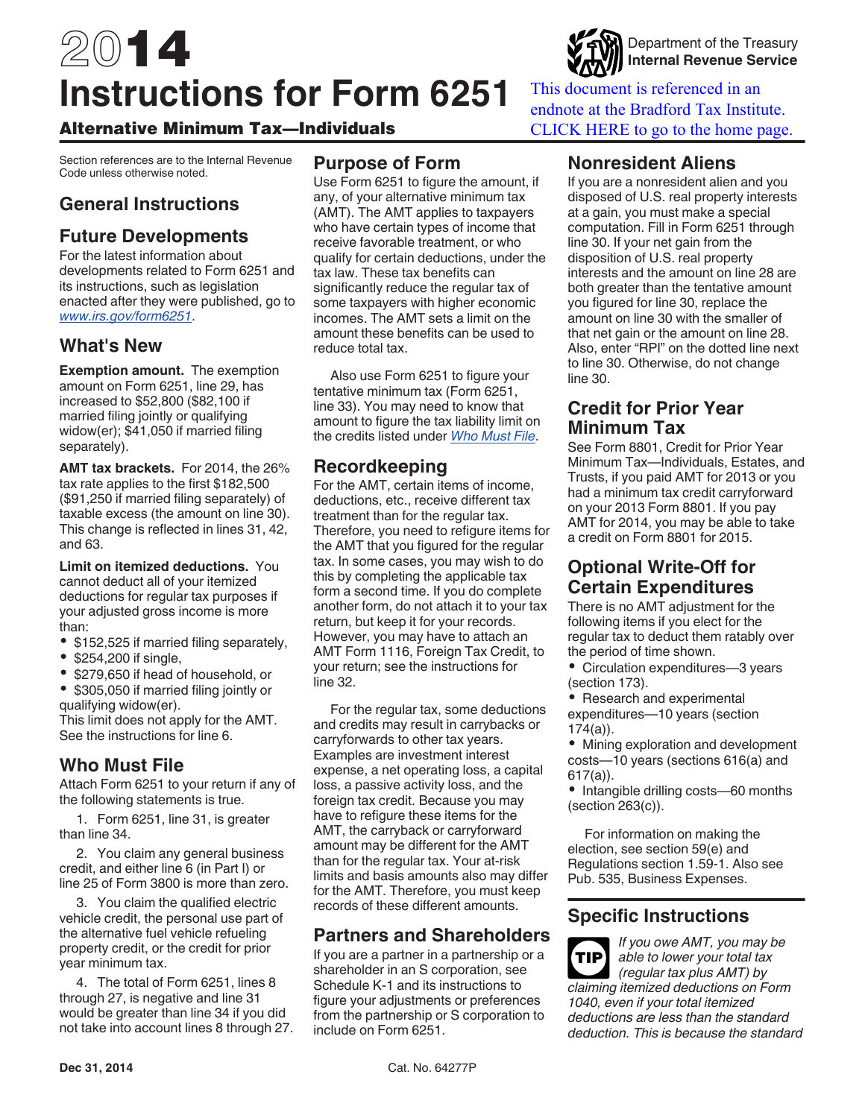# 2014 **Instructions for Form 6251**

# Alternative Minimum Tax—Individuals

Section references are to the Internal Revenue Code unless otherwise noted.

# **General Instructions**

# **Future Developments**

For the latest information about developments related to Form 6251 and its instructions, such as legislation enacted after they were published, go to *[www.irs.gov/form6251](http://www.irs.gov/form6251)*.

# **What's New**

**Exemption amount.** The exemption amount on Form 6251, line 29, has increased to \$52,800 (\$82,100 if married filing jointly or qualifying widow(er); \$41,050 if married filing separately).

**AMT tax brackets.** For 2014, the 26% tax rate applies to the first \$182,500 (\$91,250 if married filing separately) of taxable excess (the amount on line 30). This change is reflected in lines 31, 42, and 63.

**Limit on itemized deductions.** You cannot deduct all of your itemized deductions for regular tax purposes if your adjusted gross income is more than:

- \$152,525 if married filing separately,  $\bullet$
- $\bullet$ \$254,200 if single,
- \$279,650 if head of household, or
- \$305,050 if married filing jointly or qualifying widow(er).

This limit does not apply for the AMT. See the instructions for line 6.

# **Who Must File**

Attach Form 6251 to your return if any of the following statements is true.

1. Form 6251, line 31, is greater than line 34.

2. You claim any general business credit, and either line 6 (in Part I) or line 25 of Form 3800 is more than zero.

3. You claim the qualified electric vehicle credit, the personal use part of the alternative fuel vehicle refueling property credit, or the credit for prior year minimum tax.

4. The total of Form 6251, lines 8 through 27, is negative and line 31 would be greater than line 34 if you did not take into account lines 8 through 27.

# **Purpose of Form**

Use Form 6251 to figure the amount, if any, of your alternative minimum tax (AMT). The AMT applies to taxpayers who have certain types of income that receive favorable treatment, or who qualify for certain deductions, under the tax law. These tax benefits can significantly reduce the regular tax of some taxpayers with higher economic incomes. The AMT sets a limit on the amount these benefits can be used to reduce total tax.

Also use Form 6251 to figure your tentative minimum tax (Form 6251, line 33). You may need to know that amount to figure the tax liability limit on the credits listed under *Who Must File*.

# **Recordkeeping**

For the AMT, certain items of income, deductions, etc., receive different tax treatment than for the regular tax. Therefore, you need to refigure items for the AMT that you figured for the regular tax. In some cases, you may wish to do this by completing the applicable tax form a second time. If you do complete another form, do not attach it to your tax return, but keep it for your records. However, you may have to attach an AMT Form 1116, Foreign Tax Credit, to your return; see the instructions for line 32.

For the regular tax, some deductions and credits may result in carrybacks or carryforwards to other tax years. Examples are investment interest expense, a net operating loss, a capital loss, a passive activity loss, and the foreign tax credit. Because you may have to refigure these items for the AMT, the carryback or carryforward amount may be different for the AMT than for the regular tax. Your at-risk limits and basis amounts also may differ for the AMT. Therefore, you must keep records of these different amounts.

# **Partners and Shareholders**

If you are a partner in a partnership or a shareholder in an S corporation, see Schedule K-1 and its instructions to figure your adjustments or preferences from the partnership or S corporation to include on Form 6251.

Department of the Treasury **Internal Revenue Service**

This document is referenced in an

endnote at the Bradford Tax Institute. [CLICK HERE to go to the home page.](www.bradfordtaxinstitute.com)

## **Nonresident Aliens**

If you are a nonresident alien and you disposed of U.S. real property interests at a gain, you must make a special computation. Fill in Form 6251 through line 30. If your net gain from the disposition of U.S. real property interests and the amount on line 28 are both greater than the tentative amount you figured for line 30, replace the amount on line 30 with the smaller of that net gain or the amount on line 28. Also, enter "RPI" on the dotted line next to line 30. Otherwise, do not change line 30.

# **Credit for Prior Year Minimum Tax**

See Form 8801, Credit for Prior Year Minimum Tax—Individuals, Estates, and Trusts, if you paid AMT for 2013 or you had a minimum tax credit carryforward on your 2013 Form 8801. If you pay AMT for 2014, you may be able to take a credit on Form 8801 for 2015.

# **Optional Write-Off for Certain Expenditures**

There is no AMT adjustment for the following items if you elect for the regular tax to deduct them ratably over the period of time shown.

• Circulation expenditures-3 years (section 173).

• Research and experimental expenditures—10 years (section 174(a)).

Mining exploration and development costs—10 years (sections 616(a) and 617(a)).

• Intangible drilling costs-60 months (section 263(c)).

For information on making the election, see section 59(e) and Regulations section 1.59-1. Also see Pub. 535, Business Expenses.

# **Specific Instructions**

*If you owe AMT, you may be able to lower your total tax (regular tax plus AMT) by claiming itemized deductions on Form 1040, even if your total itemized deductions are less than the standard deduction. This is because the standard*  **TIP**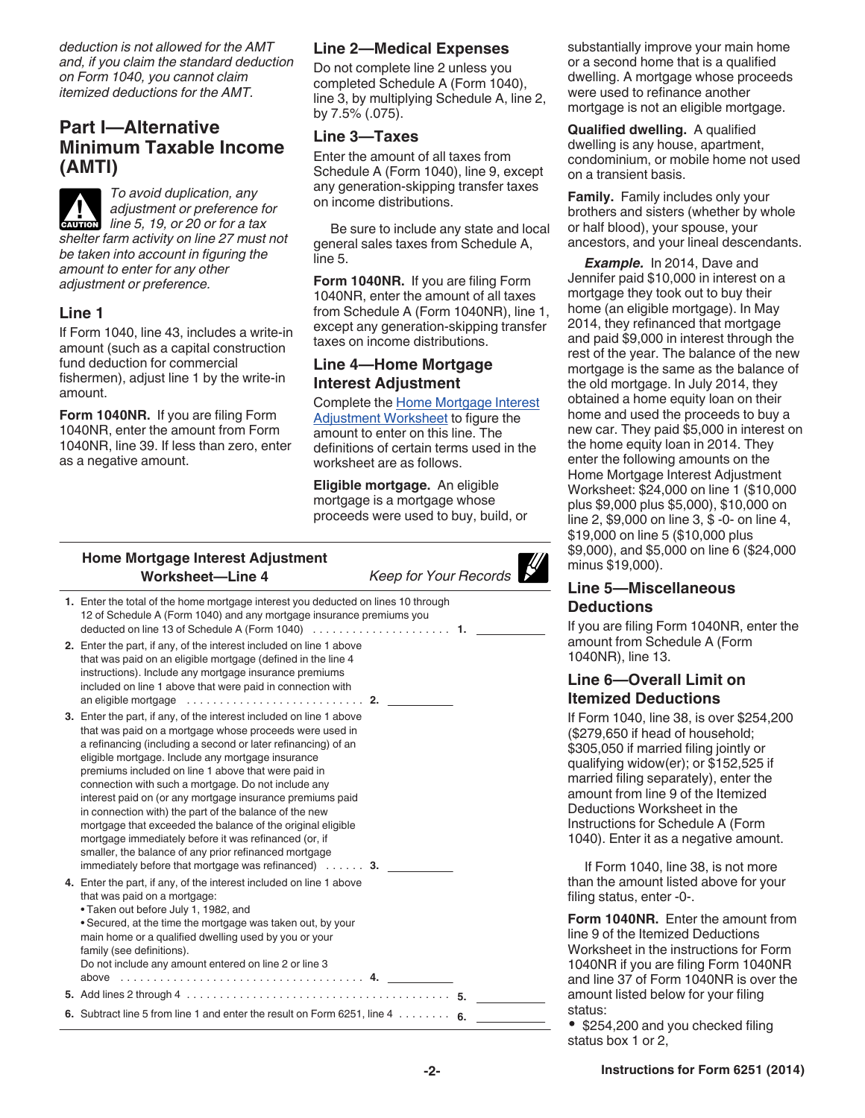*deduction is not allowed for the AMT and, if you claim the standard deduction on Form 1040, you cannot claim itemized deductions for the AMT.*

# **Part I—Alternative Minimum Taxable Income (AMTI)**

*To avoid duplication, any adjustment or preference for*  **difference** for *adjustment* or preference for a tax *shelter farm activity on line 27 must not be taken into account in figuring the amount to enter for any other adjustment or preference.*

#### **Line 1**

If Form 1040, line 43, includes a write-in amount (such as a capital construction fund deduction for commercial fishermen), adjust line 1 by the write-in amount.

**Form 1040NR.** If you are filing Form 1040NR, enter the amount from Form 1040NR, line 39. If less than zero, enter as a negative amount.

#### **Line 2—Medical Expenses**

Do not complete line 2 unless you completed Schedule A (Form 1040), line 3, by multiplying Schedule A, line 2, by 7.5% (.075).

#### **Line 3—Taxes**

Enter the amount of all taxes from Schedule A (Form 1040), line 9, except any generation-skipping transfer taxes on income distributions.

Be sure to include any state and local general sales taxes from Schedule A, line 5.

**Form 1040NR.** If you are filing Form 1040NR, enter the amount of all taxes from Schedule A (Form 1040NR), line 1, except any generation-skipping transfer taxes on income distributions.

#### **Line 4—Home Mortgage Interest Adjustment**

Complete the Home Mortgage Interest Adjustment Worksheet to figure the amount to enter on this line. The definitions of certain terms used in the worksheet are as follows.

**Eligible mortgage.** An eligible mortgage is a mortgage whose proceeds were used to buy, build, or

#### **Home Mortgage Interest Adjustment Worksheet—Line 4** *Keep for Your Records* **1.** Enter the total of the home mortgage interest you deducted on lines 10 through 12 of Schedule A (Form 1040) and any mortgage insurance premiums you deducted on line 13 of Schedule A (Form 1040) .......................... **1.** \_\_\_\_ **2.** Enter the part, if any, of the interest included on line 1 above that was paid on an eligible mortgage (defined in the line 4 instructions). Include any mortgage insurance premiums included on line 1 above that were paid in connection with an eligible mortgage ........................... **2. 3.** Enter the part, if any, of the interest included on line 1 above that was paid on a mortgage whose proceeds were used in a refinancing (including a second or later refinancing) of an eligible mortgage. Include any mortgage insurance premiums included on line 1 above that were paid in connection with such a mortgage. Do not include any interest paid on (or any mortgage insurance premiums paid in connection with) the part of the balance of the new mortgage that exceeded the balance of the original eligible mortgage immediately before it was refinanced (or, if smaller, the balance of any prior refinanced mortgage immediately before that mortgage was refinanced) ...... **3. 4.** Enter the part, if any, of the interest included on line 1 above that was paid on a mortgage: • Taken out before July 1, 1982, and • Secured, at the time the mortgage was taken out, by your main home or a qualified dwelling used by you or your family (see definitions). Do not include any amount entered on line 2 or line 3 above ..................................... **4. 5.** Add lines 2 through 4 ........................................ **5. 6.** Subtract line 5 from line 1 and enter the result on Form 6251, line 4 ........ **6.**

substantially improve your main home or a second home that is a qualified dwelling. A mortgage whose proceeds were used to refinance another mortgage is not an eligible mortgage.

**Qualified dwelling.** A qualified dwelling is any house, apartment, condominium, or mobile home not used on a transient basis.

**Family.** Family includes only your brothers and sisters (whether by whole or half blood), your spouse, your ancestors, and your lineal descendants.

*Example.* In 2014, Dave and Jennifer paid \$10,000 in interest on a mortgage they took out to buy their home (an eligible mortgage). In May 2014, they refinanced that mortgage and paid \$9,000 in interest through the rest of the year. The balance of the new mortgage is the same as the balance of the old mortgage. In July 2014, they obtained a home equity loan on their home and used the proceeds to buy a new car. They paid \$5,000 in interest on the home equity loan in 2014. They enter the following amounts on the Home Mortgage Interest Adjustment Worksheet: \$24,000 on line 1 (\$10,000 plus \$9,000 plus \$5,000), \$10,000 on line 2, \$9,000 on line 3, \$ -0- on line 4, \$19,000 on line 5 (\$10,000 plus \$9,000), and \$5,000 on line 6 (\$24,000 minus \$19,000).

#### **Line 5—Miscellaneous Deductions**

If you are filing Form 1040NR, enter the amount from Schedule A (Form 1040NR), line 13.

#### **Line 6—Overall Limit on Itemized Deductions**

If Form 1040, line 38, is over \$254,200 (\$279,650 if head of household; \$305,050 if married filing jointly or qualifying widow(er); or \$152,525 if married filing separately), enter the amount from line 9 of the Itemized Deductions Worksheet in the Instructions for Schedule A (Form 1040). Enter it as a negative amount.

If Form 1040, line 38, is not more than the amount listed above for your filing status, enter -0-.

**Form 1040NR.** Enter the amount from line 9 of the Itemized Deductions Worksheet in the instructions for Form 1040NR if you are filing Form 1040NR and line 37 of Form 1040NR is over the amount listed below for your filing status:

• \$254,200 and you checked filing status box 1 or 2,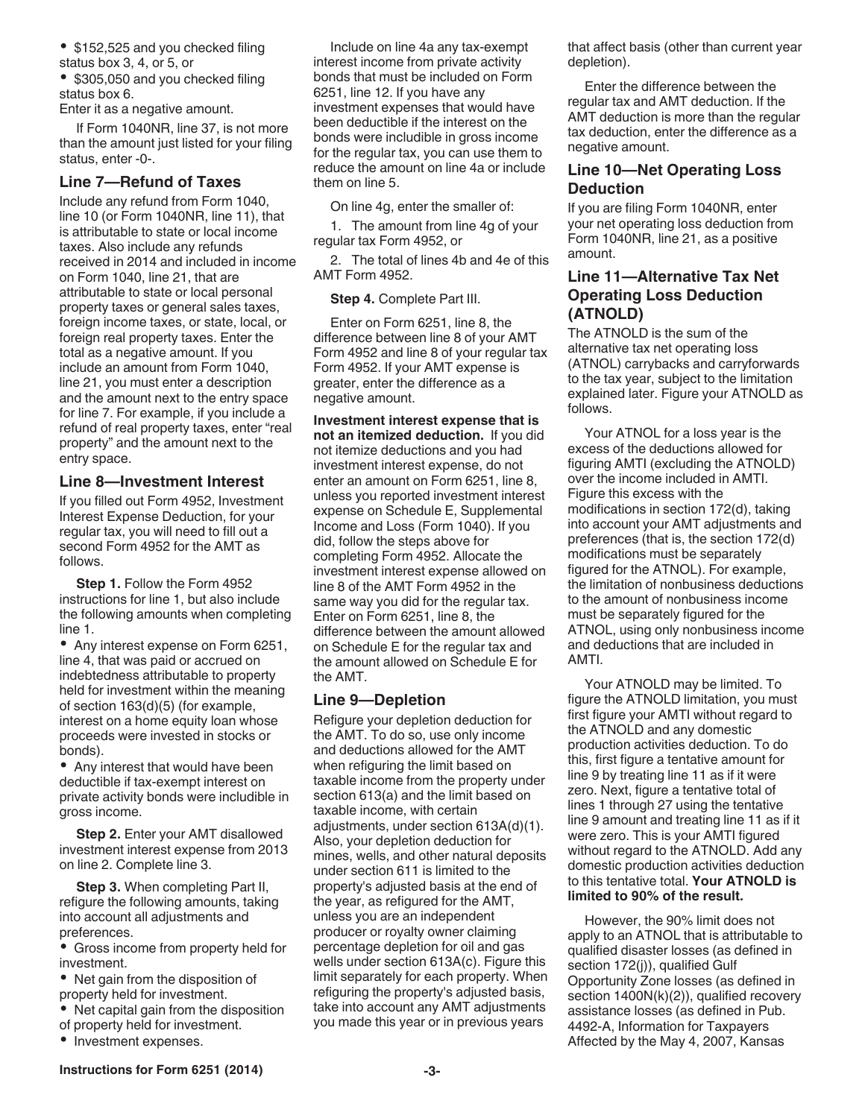• \$152,525 and you checked filing status box 3, 4, or 5, or

• \$305,050 and you checked filing status box 6.

Enter it as a negative amount.

If Form 1040NR, line 37, is not more than the amount just listed for your filing status, enter -0-.

#### **Line 7—Refund of Taxes**

Include any refund from Form 1040, line 10 (or Form 1040NR, line 11), that is attributable to state or local income taxes. Also include any refunds received in 2014 and included in income on Form 1040, line 21, that are attributable to state or local personal property taxes or general sales taxes, foreign income taxes, or state, local, or foreign real property taxes. Enter the total as a negative amount. If you include an amount from Form 1040, line 21, you must enter a description and the amount next to the entry space for line 7. For example, if you include a refund of real property taxes, enter "real property" and the amount next to the entry space.

#### **Line 8—Investment Interest**

If you filled out Form 4952, Investment Interest Expense Deduction, for your regular tax, you will need to fill out a second Form 4952 for the AMT as follows.

**Step 1.** Follow the Form 4952 instructions for line 1, but also include the following amounts when completing line 1.

Any interest expense on Form 6251, line 4, that was paid or accrued on indebtedness attributable to property held for investment within the meaning of section 163(d)(5) (for example, interest on a home equity loan whose proceeds were invested in stocks or bonds).

• Any interest that would have been deductible if tax-exempt interest on private activity bonds were includible in gross income.

**Step 2. Enter your AMT disallowed** investment interest expense from 2013 on line 2. Complete line 3.

**Step 3.** When completing Part II, refigure the following amounts, taking into account all adjustments and preferences.

Gross income from property held for investment.

• Net gain from the disposition of property held for investment.

• Net capital gain from the disposition of property held for investment.

• Investment expenses.

Include on line 4a any tax-exempt interest income from private activity bonds that must be included on Form 6251, line 12. If you have any investment expenses that would have been deductible if the interest on the bonds were includible in gross income for the regular tax, you can use them to reduce the amount on line 4a or include them on line 5.

On line 4g, enter the smaller of:

1. The amount from line 4g of your regular tax Form 4952, or

2. The total of lines 4b and 4e of this AMT Form 4952.

**Step 4.** Complete Part III.

Enter on Form 6251, line 8, the difference between line 8 of your AMT Form 4952 and line 8 of your regular tax Form 4952. If your AMT expense is greater, enter the difference as a negative amount.

**Investment interest expense that is not an itemized deduction.** If you did not itemize deductions and you had investment interest expense, do not enter an amount on Form 6251, line 8, unless you reported investment interest expense on Schedule E, Supplemental Income and Loss (Form 1040). If you did, follow the steps above for completing Form 4952. Allocate the investment interest expense allowed on line 8 of the AMT Form 4952 in the same way you did for the regular tax. Enter on Form 6251, line 8, the difference between the amount allowed on Schedule E for the regular tax and the amount allowed on Schedule E for the AMT.

#### **Line 9—Depletion**

Refigure your depletion deduction for the AMT. To do so, use only income and deductions allowed for the AMT when refiguring the limit based on taxable income from the property under section 613(a) and the limit based on taxable income, with certain adjustments, under section 613A(d)(1). Also, your depletion deduction for mines, wells, and other natural deposits under section 611 is limited to the property's adjusted basis at the end of the year, as refigured for the AMT, unless you are an independent producer or royalty owner claiming percentage depletion for oil and gas wells under section 613A(c). Figure this limit separately for each property. When refiguring the property's adjusted basis, take into account any AMT adjustments you made this year or in previous years

that affect basis (other than current year depletion).

Enter the difference between the regular tax and AMT deduction. If the AMT deduction is more than the regular tax deduction, enter the difference as a negative amount.

#### **Line 10—Net Operating Loss Deduction**

If you are filing Form 1040NR, enter your net operating loss deduction from Form 1040NR, line 21, as a positive amount.

#### **Line 11—Alternative Tax Net Operating Loss Deduction (ATNOLD)**

The ATNOLD is the sum of the alternative tax net operating loss (ATNOL) carrybacks and carryforwards to the tax year, subject to the limitation explained later. Figure your ATNOLD as follows.

Your ATNOL for a loss year is the excess of the deductions allowed for figuring AMTI (excluding the ATNOLD) over the income included in AMTI. Figure this excess with the modifications in section 172(d), taking into account your AMT adjustments and preferences (that is, the section 172(d) modifications must be separately figured for the ATNOL). For example, the limitation of nonbusiness deductions to the amount of nonbusiness income must be separately figured for the ATNOL, using only nonbusiness income and deductions that are included in AMTI.

Your ATNOLD may be limited. To figure the ATNOLD limitation, you must first figure your AMTI without regard to the ATNOLD and any domestic production activities deduction. To do this, first figure a tentative amount for line 9 by treating line 11 as if it were zero. Next, figure a tentative total of lines 1 through 27 using the tentative line 9 amount and treating line 11 as if it were zero. This is your AMTI figured without regard to the ATNOLD. Add any domestic production activities deduction to this tentative total. **Your ATNOLD is limited to 90% of the result.**

However, the 90% limit does not apply to an ATNOL that is attributable to qualified disaster losses (as defined in section 172(j)), qualified Gulf Opportunity Zone losses (as defined in section 1400N(k)(2)), qualified recovery assistance losses (as defined in Pub. 4492-A, Information for Taxpayers Affected by the May 4, 2007, Kansas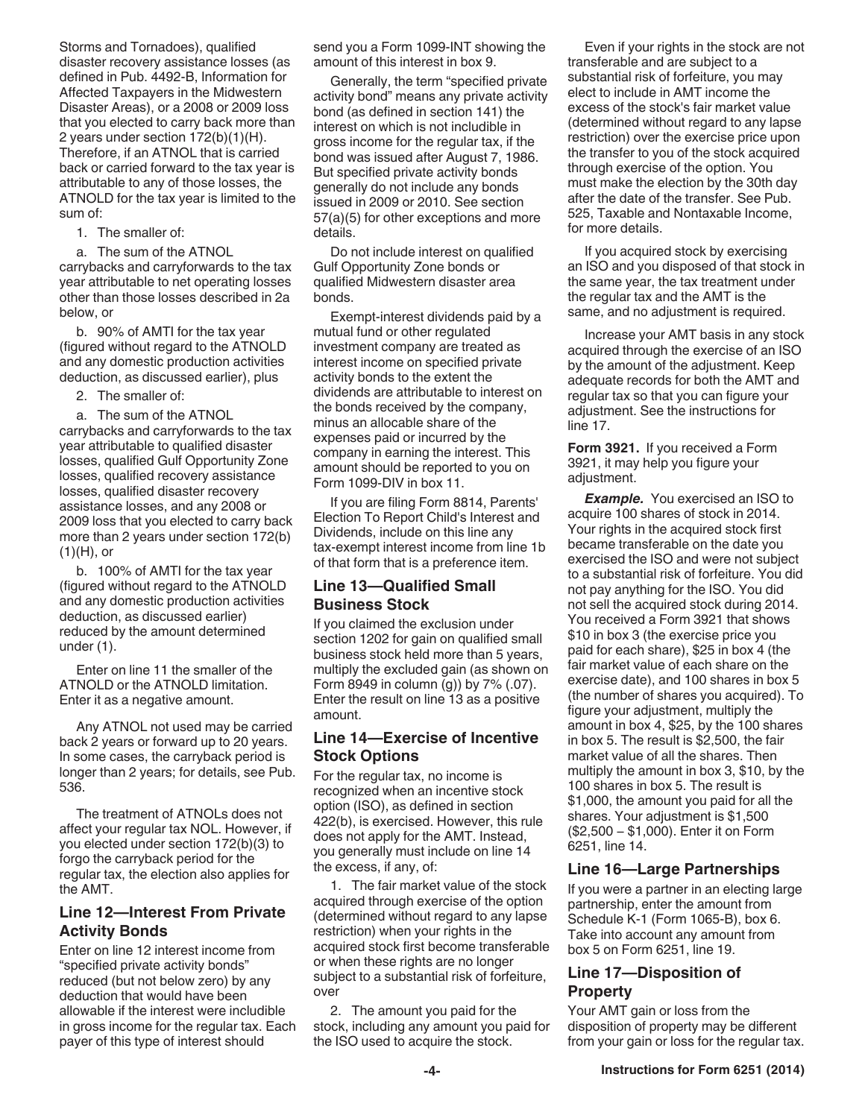Storms and Tornadoes), qualified disaster recovery assistance losses (as defined in Pub. 4492-B, Information for Affected Taxpayers in the Midwestern Disaster Areas), or a 2008 or 2009 loss that you elected to carry back more than 2 years under section 172(b)(1)(H). Therefore, if an ATNOL that is carried back or carried forward to the tax year is attributable to any of those losses, the ATNOLD for the tax year is limited to the sum of:

1. The smaller of:

a. The sum of the ATNOL carrybacks and carryforwards to the tax year attributable to net operating losses other than those losses described in 2a below, or

b. 90% of AMTI for the tax year (figured without regard to the ATNOLD and any domestic production activities deduction, as discussed earlier), plus

2. The smaller of:

a. The sum of the ATNOL carrybacks and carryforwards to the tax year attributable to qualified disaster losses, qualified Gulf Opportunity Zone losses, qualified recovery assistance losses, qualified disaster recovery assistance losses, and any 2008 or 2009 loss that you elected to carry back more than 2 years under section 172(b)  $(1)(H)$ , or

b. 100% of AMTI for the tax year (figured without regard to the ATNOLD and any domestic production activities deduction, as discussed earlier) reduced by the amount determined under (1).

Enter on line 11 the smaller of the ATNOLD or the ATNOLD limitation. Enter it as a negative amount.

Any ATNOL not used may be carried back 2 years or forward up to 20 years. In some cases, the carryback period is longer than 2 years; for details, see Pub. 536.

The treatment of ATNOLs does not affect your regular tax NOL. However, if you elected under section 172(b)(3) to forgo the carryback period for the regular tax, the election also applies for the AMT.

#### **Line 12—Interest From Private Activity Bonds**

Enter on line 12 interest income from "specified private activity bonds" reduced (but not below zero) by any deduction that would have been allowable if the interest were includible in gross income for the regular tax. Each payer of this type of interest should

send you a Form 1099-INT showing the amount of this interest in box 9.

Generally, the term "specified private activity bond" means any private activity bond (as defined in section 141) the interest on which is not includible in gross income for the regular tax, if the bond was issued after August 7, 1986. But specified private activity bonds generally do not include any bonds issued in 2009 or 2010. See section 57(a)(5) for other exceptions and more details.

Do not include interest on qualified Gulf Opportunity Zone bonds or qualified Midwestern disaster area bonds.

Exempt-interest dividends paid by a mutual fund or other regulated investment company are treated as interest income on specified private activity bonds to the extent the dividends are attributable to interest on the bonds received by the company, minus an allocable share of the expenses paid or incurred by the company in earning the interest. This amount should be reported to you on Form 1099-DIV in box 11.

If you are filing Form 8814, Parents' Election To Report Child's Interest and Dividends, include on this line any tax-exempt interest income from line 1b of that form that is a preference item.

#### **Line 13—Qualified Small Business Stock**

If you claimed the exclusion under section 1202 for gain on qualified small business stock held more than 5 years, multiply the excluded gain (as shown on Form 8949 in column (g)) by 7% (.07). Enter the result on line 13 as a positive amount.

#### **Line 14—Exercise of Incentive Stock Options**

For the regular tax, no income is recognized when an incentive stock option (ISO), as defined in section 422(b), is exercised. However, this rule does not apply for the AMT. Instead, you generally must include on line 14 the excess, if any, of:

1. The fair market value of the stock acquired through exercise of the option (determined without regard to any lapse restriction) when your rights in the acquired stock first become transferable or when these rights are no longer subject to a substantial risk of forfeiture, over

2. The amount you paid for the stock, including any amount you paid for the ISO used to acquire the stock.

Even if your rights in the stock are not transferable and are subject to a substantial risk of forfeiture, you may elect to include in AMT income the excess of the stock's fair market value (determined without regard to any lapse restriction) over the exercise price upon the transfer to you of the stock acquired through exercise of the option. You must make the election by the 30th day after the date of the transfer. See Pub. 525, Taxable and Nontaxable Income, for more details.

If you acquired stock by exercising an ISO and you disposed of that stock in the same year, the tax treatment under the regular tax and the AMT is the same, and no adjustment is required.

Increase your AMT basis in any stock acquired through the exercise of an ISO by the amount of the adjustment. Keep adequate records for both the AMT and regular tax so that you can figure your adjustment. See the instructions for line 17.

**Form 3921.** If you received a Form 3921, it may help you figure your adjustment.

*Example.* You exercised an ISO to acquire 100 shares of stock in 2014. Your rights in the acquired stock first became transferable on the date you exercised the ISO and were not subject to a substantial risk of forfeiture. You did not pay anything for the ISO. You did not sell the acquired stock during 2014. You received a Form 3921 that shows \$10 in box 3 (the exercise price you paid for each share), \$25 in box 4 (the fair market value of each share on the exercise date), and 100 shares in box 5 (the number of shares you acquired). To figure your adjustment, multiply the amount in box 4, \$25, by the 100 shares in box 5. The result is \$2,500, the fair market value of all the shares. Then multiply the amount in box 3, \$10, by the 100 shares in box 5. The result is \$1,000, the amount you paid for all the shares. Your adjustment is \$1,500 (\$2,500 − \$1,000). Enter it on Form 6251, line 14.

# **Line 16—Large Partnerships**

If you were a partner in an electing large partnership, enter the amount from Schedule K-1 (Form 1065-B), box 6. Take into account any amount from box 5 on Form 6251, line 19.

#### **Line 17—Disposition of Property**

Your AMT gain or loss from the disposition of property may be different from your gain or loss for the regular tax.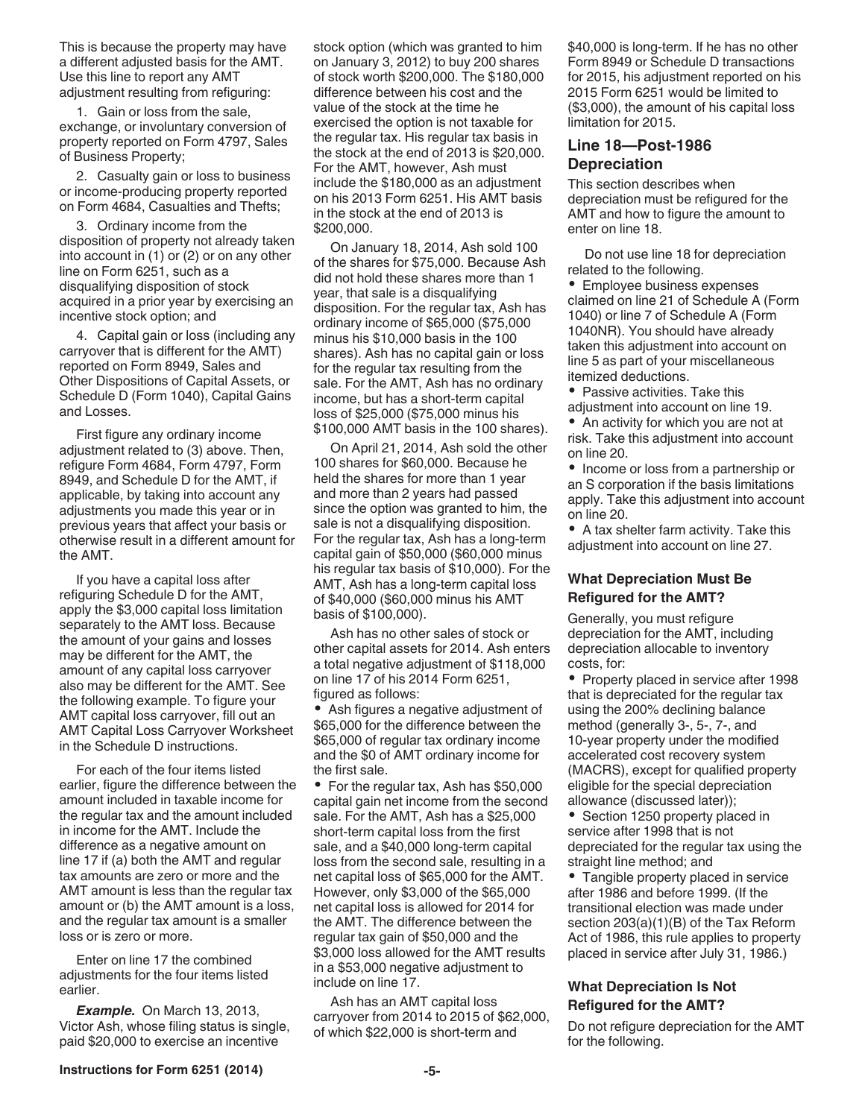This is because the property may have a different adjusted basis for the AMT. Use this line to report any AMT adjustment resulting from refiguring:

1. Gain or loss from the sale, exchange, or involuntary conversion of property reported on Form 4797, Sales of Business Property;

2. Casualty gain or loss to business or income-producing property reported on Form 4684, Casualties and Thefts;

3. Ordinary income from the disposition of property not already taken into account in (1) or (2) or on any other line on Form 6251, such as a disqualifying disposition of stock acquired in a prior year by exercising an incentive stock option; and

4. Capital gain or loss (including any carryover that is different for the AMT) reported on Form 8949, Sales and Other Dispositions of Capital Assets, or Schedule D (Form 1040), Capital Gains and Losses.

First figure any ordinary income adjustment related to (3) above. Then, refigure Form 4684, Form 4797, Form 8949, and Schedule D for the AMT, if applicable, by taking into account any adjustments you made this year or in previous years that affect your basis or otherwise result in a different amount for the AMT.

If you have a capital loss after refiguring Schedule D for the AMT, apply the \$3,000 capital loss limitation separately to the AMT loss. Because the amount of your gains and losses may be different for the AMT, the amount of any capital loss carryover also may be different for the AMT. See the following example. To figure your AMT capital loss carryover, fill out an AMT Capital Loss Carryover Worksheet in the Schedule D instructions.

For each of the four items listed earlier, figure the difference between the amount included in taxable income for the regular tax and the amount included in income for the AMT. Include the difference as a negative amount on line 17 if (a) both the AMT and regular tax amounts are zero or more and the AMT amount is less than the regular tax amount or (b) the AMT amount is a loss, and the regular tax amount is a smaller loss or is zero or more.

Enter on line 17 the combined adjustments for the four items listed earlier.

*Example.* On March 13, 2013, Victor Ash, whose filing status is single, paid \$20,000 to exercise an incentive

stock option (which was granted to him on January 3, 2012) to buy 200 shares of stock worth \$200,000. The \$180,000 difference between his cost and the value of the stock at the time he exercised the option is not taxable for the regular tax. His regular tax basis in the stock at the end of 2013 is \$20,000. For the AMT, however, Ash must include the \$180,000 as an adjustment on his 2013 Form 6251. His AMT basis in the stock at the end of 2013 is \$200,000.

On January 18, 2014, Ash sold 100 of the shares for \$75,000. Because Ash did not hold these shares more than 1 year, that sale is a disqualifying disposition. For the regular tax, Ash has ordinary income of \$65,000 (\$75,000 minus his \$10,000 basis in the 100 shares). Ash has no capital gain or loss for the regular tax resulting from the sale. For the AMT, Ash has no ordinary income, but has a short-term capital loss of \$25,000 (\$75,000 minus his \$100,000 AMT basis in the 100 shares).

On April 21, 2014, Ash sold the other 100 shares for \$60,000. Because he held the shares for more than 1 year and more than 2 years had passed since the option was granted to him, the sale is not a disqualifying disposition. For the regular tax, Ash has a long-term capital gain of \$50,000 (\$60,000 minus his regular tax basis of \$10,000). For the AMT, Ash has a long-term capital loss of \$40,000 (\$60,000 minus his AMT basis of \$100,000).

Ash has no other sales of stock or other capital assets for 2014. Ash enters a total negative adjustment of \$118,000 on line 17 of his 2014 Form 6251, figured as follows:

Ash figures a negative adjustment of \$65,000 for the difference between the \$65,000 of regular tax ordinary income and the \$0 of AMT ordinary income for the first sale.

• For the regular tax, Ash has \$50,000 capital gain net income from the second sale. For the AMT, Ash has a \$25,000 short-term capital loss from the first sale, and a \$40,000 long-term capital loss from the second sale, resulting in a net capital loss of \$65,000 for the AMT. However, only \$3,000 of the \$65,000 net capital loss is allowed for 2014 for the AMT. The difference between the regular tax gain of \$50,000 and the \$3,000 loss allowed for the AMT results in a \$53,000 negative adjustment to include on line 17.

Ash has an AMT capital loss carryover from 2014 to 2015 of \$62,000, of which \$22,000 is short-term and

\$40,000 is long-term. If he has no other Form 8949 or Schedule D transactions for 2015, his adjustment reported on his 2015 Form 6251 would be limited to (\$3,000), the amount of his capital loss limitation for 2015.

#### **Line 18—Post-1986 Depreciation**

This section describes when depreciation must be refigured for the AMT and how to figure the amount to enter on line 18.

Do not use line 18 for depreciation related to the following.

• Employee business expenses claimed on line 21 of Schedule A (Form 1040) or line 7 of Schedule A (Form 1040NR). You should have already taken this adjustment into account on line 5 as part of your miscellaneous itemized deductions.

• Passive activities. Take this adjustment into account on line 19.

An activity for which you are not at risk. Take this adjustment into account on line 20.

• Income or loss from a partnership or an S corporation if the basis limitations apply. Take this adjustment into account on line 20.

• A tax shelter farm activity. Take this adjustment into account on line 27.

#### **What Depreciation Must Be Refigured for the AMT?**

Generally, you must refigure depreciation for the AMT, including depreciation allocable to inventory costs, for:

• Property placed in service after 1998 that is depreciated for the regular tax using the 200% declining balance method (generally 3-, 5-, 7-, and 10-year property under the modified accelerated cost recovery system (MACRS), except for qualified property eligible for the special depreciation allowance (discussed later));

• Section 1250 property placed in service after 1998 that is not depreciated for the regular tax using the straight line method; and

• Tangible property placed in service after 1986 and before 1999. (If the transitional election was made under section 203(a)(1)(B) of the Tax Reform Act of 1986, this rule applies to property placed in service after July 31, 1986.)

#### **What Depreciation Is Not Refigured for the AMT?**

Do not refigure depreciation for the AMT for the following.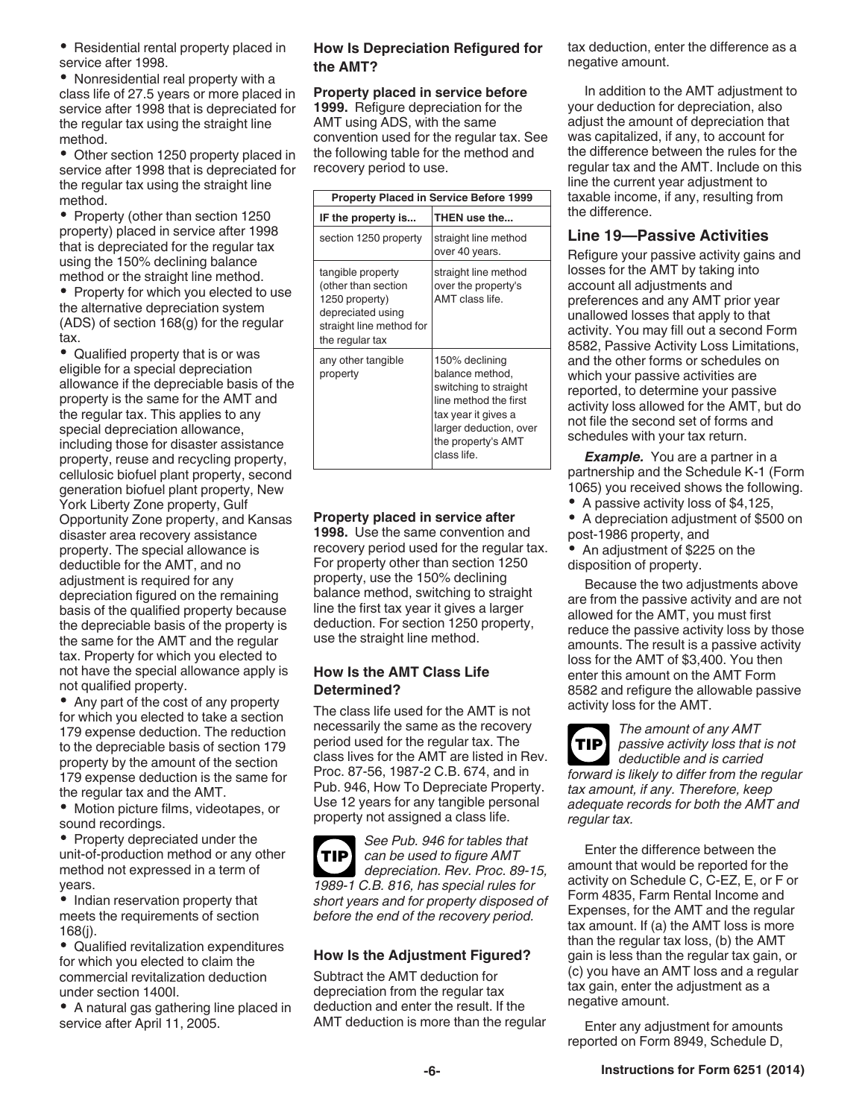• Residential rental property placed in service after 1998.

Nonresidential real property with a class life of 27.5 years or more placed in service after 1998 that is depreciated for the regular tax using the straight line method.

Other section 1250 property placed in service after 1998 that is depreciated for the regular tax using the straight line method.

• Property (other than section 1250 property) placed in service after 1998 that is depreciated for the regular tax using the 150% declining balance method or the straight line method.

• Property for which you elected to use the alternative depreciation system (ADS) of section 168(g) for the regular tax.

Qualified property that is or was eligible for a special depreciation allowance if the depreciable basis of the property is the same for the AMT and the regular tax. This applies to any special depreciation allowance, including those for disaster assistance property, reuse and recycling property, cellulosic biofuel plant property, second generation biofuel plant property, New York Liberty Zone property, Gulf Opportunity Zone property, and Kansas disaster area recovery assistance property. The special allowance is deductible for the AMT, and no adjustment is required for any depreciation figured on the remaining basis of the qualified property because the depreciable basis of the property is the same for the AMT and the regular tax. Property for which you elected to not have the special allowance apply is not qualified property.

• Any part of the cost of any property for which you elected to take a section 179 expense deduction. The reduction to the depreciable basis of section 179 property by the amount of the section 179 expense deduction is the same for the regular tax and the AMT.

Motion picture films, videotapes, or sound recordings.

• Property depreciated under the unit-of-production method or any other method not expressed in a term of years.

• Indian reservation property that meets the requirements of section 168(j).

Qualified revitalization expenditures for which you elected to claim the commercial revitalization deduction under section 1400I.

A natural gas gathering line placed in service after April 11, 2005.

#### **How Is Depreciation Refigured for the AMT?**

**Property placed in service before 1999.** Refigure depreciation for the AMT using ADS, with the same convention used for the regular tax. See the following table for the method and recovery period to use.

| <b>Property Placed in Service Before 1999</b>                                                                                  |                                                                                                                                                                           |  |
|--------------------------------------------------------------------------------------------------------------------------------|---------------------------------------------------------------------------------------------------------------------------------------------------------------------------|--|
| IF the property is                                                                                                             | THEN use the                                                                                                                                                              |  |
| section 1250 property                                                                                                          | straight line method<br>over 40 years.                                                                                                                                    |  |
| tangible property<br>(other than section<br>1250 property)<br>depreciated using<br>straight line method for<br>the regular tax | straight line method<br>over the property's<br>AMT class life.                                                                                                            |  |
| any other tangible<br>property                                                                                                 | 150% declining<br>balance method,<br>switching to straight<br>line method the first<br>tax year it gives a<br>larger deduction, over<br>the property's AMT<br>class life. |  |

#### **Property placed in service after**

**1998.** Use the same convention and recovery period used for the regular tax. For property other than section 1250 property, use the 150% declining balance method, switching to straight line the first tax year it gives a larger deduction. For section 1250 property, use the straight line method.

#### **How Is the AMT Class Life Determined?**

The class life used for the AMT is not necessarily the same as the recovery period used for the regular tax. The class lives for the AMT are listed in Rev. Proc. 87-56, 1987-2 C.B. 674, and in Pub. 946, How To Depreciate Property. Use 12 years for any tangible personal property not assigned a class life.

*See Pub. 946 for tables that can be used to figure AMT depreciation. Rev. Proc. 89-15, 1989-1 C.B. 816, has special rules for short years and for property disposed of before the end of the recovery period.* **TIP**

#### **How Is the Adjustment Figured?**

Subtract the AMT deduction for depreciation from the regular tax deduction and enter the result. If the AMT deduction is more than the regular tax deduction, enter the difference as a negative amount.

In addition to the AMT adjustment to your deduction for depreciation, also adjust the amount of depreciation that was capitalized, if any, to account for the difference between the rules for the regular tax and the AMT. Include on this line the current year adjustment to taxable income, if any, resulting from the difference.

#### **Line 19—Passive Activities**

Refigure your passive activity gains and losses for the AMT by taking into account all adjustments and preferences and any AMT prior year unallowed losses that apply to that activity. You may fill out a second Form 8582, Passive Activity Loss Limitations, and the other forms or schedules on which your passive activities are reported, to determine your passive activity loss allowed for the AMT, but do not file the second set of forms and schedules with your tax return.

*Example.* You are a partner in a partnership and the Schedule K-1 (Form 1065) you received shows the following.

A passive activity loss of \$4,125,

A depreciation adjustment of \$500 on post-1986 property, and

An adjustment of \$225 on the disposition of property.

Because the two adjustments above are from the passive activity and are not allowed for the AMT, you must first reduce the passive activity loss by those amounts. The result is a passive activity loss for the AMT of \$3,400. You then enter this amount on the AMT Form 8582 and refigure the allowable passive activity loss for the AMT.

*The amount of any AMT passive activity loss that is not deductible and is carried forward is likely to differ from the regular tax amount, if any. Therefore, keep adequate records for both the AMT and regular tax.* **TIP**

Enter the difference between the amount that would be reported for the activity on Schedule C, C-EZ, E, or F or Form 4835, Farm Rental Income and Expenses, for the AMT and the regular tax amount. If (a) the AMT loss is more than the regular tax loss, (b) the AMT gain is less than the regular tax gain, or (c) you have an AMT loss and a regular tax gain, enter the adjustment as a negative amount.

Enter any adjustment for amounts reported on Form 8949, Schedule D,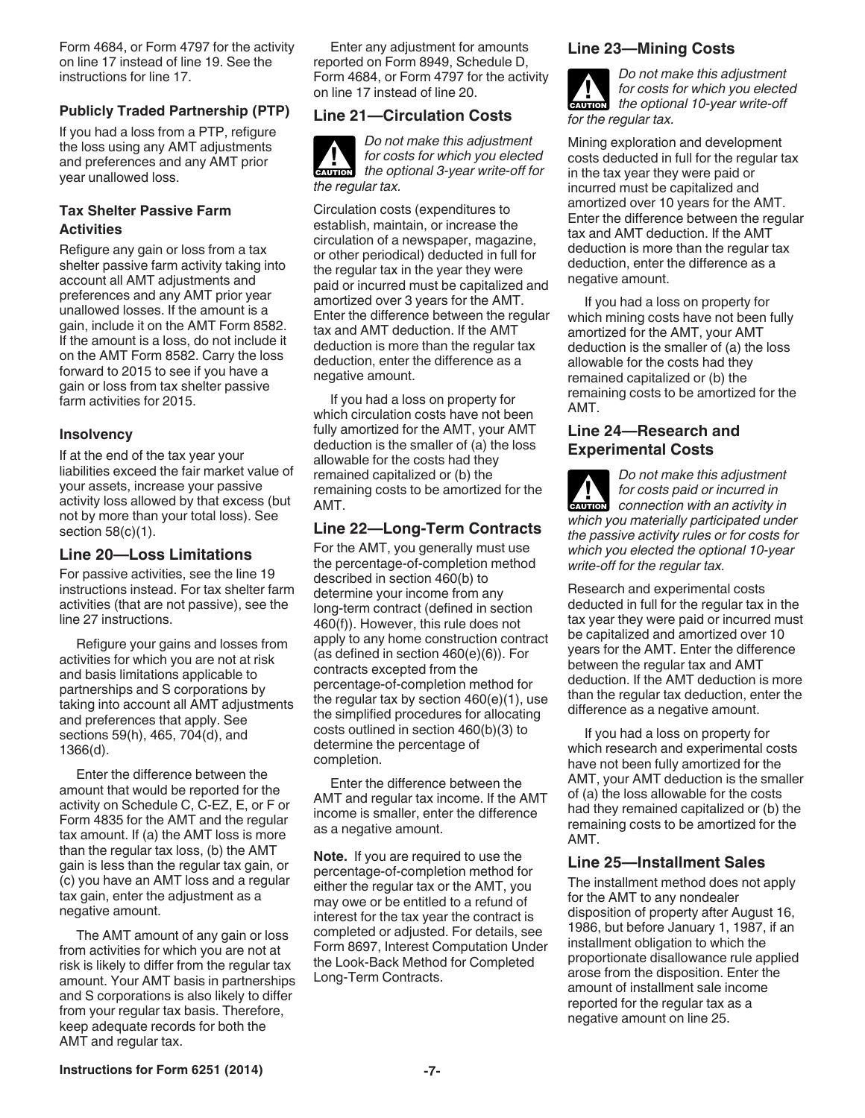Form 4684, or Form 4797 for the activity on line 17 instead of line 19. See the instructions for line 17.

#### **Publicly Traded Partnership (PTP)**

If you had a loss from a PTP, refigure the loss using any AMT adjustments and preferences and any AMT prior year unallowed loss.

#### **Tax Shelter Passive Farm Activities**

Refigure any gain or loss from a tax shelter passive farm activity taking into account all AMT adjustments and preferences and any AMT prior year unallowed losses. If the amount is a gain, include it on the AMT Form 8582. If the amount is a loss, do not include it on the AMT Form 8582. Carry the loss forward to 2015 to see if you have a gain or loss from tax shelter passive farm activities for 2015.

#### **Insolvency**

If at the end of the tax year your liabilities exceed the fair market value of your assets, increase your passive activity loss allowed by that excess (but not by more than your total loss). See section 58(c)(1).

#### **Line 20—Loss Limitations**

For passive activities, see the line 19 instructions instead. For tax shelter farm activities (that are not passive), see the line 27 instructions.

Refigure your gains and losses from activities for which you are not at risk and basis limitations applicable to partnerships and S corporations by taking into account all AMT adjustments and preferences that apply. See sections 59(h), 465, 704(d), and 1366(d).

Enter the difference between the amount that would be reported for the activity on Schedule C, C-EZ, E, or F or Form 4835 for the AMT and the regular tax amount. If (a) the AMT loss is more than the regular tax loss, (b) the AMT gain is less than the regular tax gain, or (c) you have an AMT loss and a regular tax gain, enter the adjustment as a negative amount.

The AMT amount of any gain or loss from activities for which you are not at risk is likely to differ from the regular tax amount. Your AMT basis in partnerships and S corporations is also likely to differ from your regular tax basis. Therefore, keep adequate records for both the AMT and regular tax.

Enter any adjustment for amounts reported on Form 8949, Schedule D, Form 4684, or Form 4797 for the activity on line 17 instead of line 20.

#### **Line 21—Circulation Costs**



*Do not make this adjustment for costs for which you elected*  **the optional 3-year write-off for** *the regular tax.*

Circulation costs (expenditures to establish, maintain, or increase the circulation of a newspaper, magazine, or other periodical) deducted in full for the regular tax in the year they were paid or incurred must be capitalized and amortized over 3 years for the AMT. Enter the difference between the regular tax and AMT deduction. If the AMT deduction is more than the regular tax deduction, enter the difference as a negative amount.

If you had a loss on property for which circulation costs have not been fully amortized for the AMT, your AMT deduction is the smaller of (a) the loss allowable for the costs had they remained capitalized or (b) the remaining costs to be amortized for the AMT.

# **Line 22—Long-Term Contracts**

For the AMT, you generally must use the percentage-of-completion method described in section 460(b) to determine your income from any long-term contract (defined in section 460(f)). However, this rule does not apply to any home construction contract (as defined in section 460(e)(6)). For contracts excepted from the percentage-of-completion method for the regular tax by section 460(e)(1), use the simplified procedures for allocating costs outlined in section 460(b)(3) to determine the percentage of completion.

Enter the difference between the AMT and regular tax income. If the AMT income is smaller, enter the difference as a negative amount.

**Note.** If you are required to use the percentage-of-completion method for either the regular tax or the AMT, you may owe or be entitled to a refund of interest for the tax year the contract is completed or adjusted. For details, see Form 8697, Interest Computation Under the Look-Back Method for Completed Long-Term Contracts.

#### **Line 23—Mining Costs**

*Do not make this adjustment for costs for which you elected*  **c** for costs for which you electe<br>the optional 10-year write-off *for the regular tax.*

Mining exploration and development costs deducted in full for the regular tax in the tax year they were paid or incurred must be capitalized and amortized over 10 years for the AMT. Enter the difference between the regular tax and AMT deduction. If the AMT deduction is more than the regular tax deduction, enter the difference as a negative amount.

If you had a loss on property for which mining costs have not been fully amortized for the AMT, your AMT deduction is the smaller of (a) the loss allowable for the costs had they remained capitalized or (b) the remaining costs to be amortized for the AMT.

#### **Line 24—Research and Experimental Costs**

*Do not make this adjustment for costs paid or incurred in*  **connection with an activity in**<br> **CONNECTED** *which you materially participated under the passive activity rules or for costs for which you elected the optional 10-year write-off for the regular tax.*

Research and experimental costs deducted in full for the regular tax in the tax year they were paid or incurred must be capitalized and amortized over 10 years for the AMT. Enter the difference between the regular tax and AMT deduction. If the AMT deduction is more than the regular tax deduction, enter the difference as a negative amount.

If you had a loss on property for which research and experimental costs have not been fully amortized for the AMT, your AMT deduction is the smaller of (a) the loss allowable for the costs had they remained capitalized or (b) the remaining costs to be amortized for the AMT.

#### **Line 25—Installment Sales**

The installment method does not apply for the AMT to any nondealer disposition of property after August 16, 1986, but before January 1, 1987, if an installment obligation to which the proportionate disallowance rule applied arose from the disposition. Enter the amount of installment sale income reported for the regular tax as a negative amount on line 25.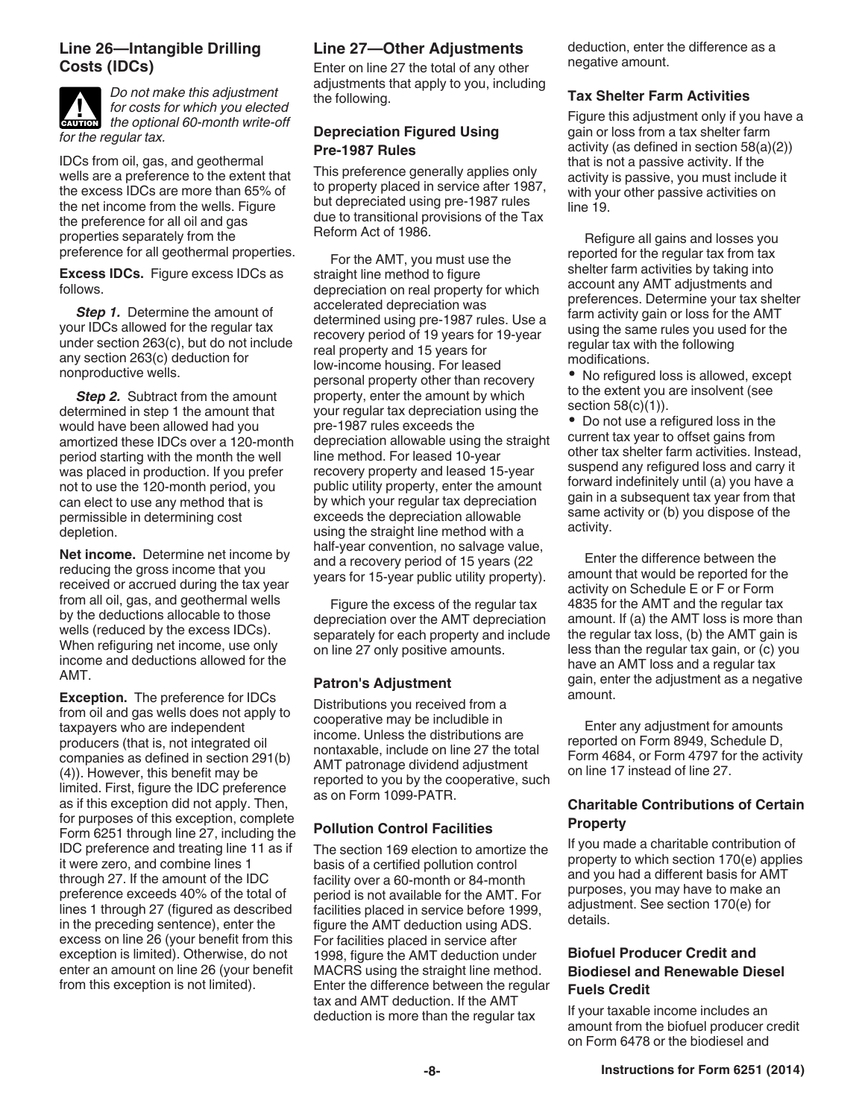#### **Line 26—Intangible Drilling Costs (IDCs)**



*Do not make this adjustment for costs for which you elected*  **the optional 60-month write-off <b>caution** *for the regular tax.*

IDCs from oil, gas, and geothermal wells are a preference to the extent that the excess IDCs are more than 65% of the net income from the wells. Figure the preference for all oil and gas properties separately from the preference for all geothermal properties.

**Excess IDCs.** Figure excess IDCs as follows.

*Step 1.* Determine the amount of your IDCs allowed for the regular tax under section 263(c), but do not include any section 263(c) deduction for nonproductive wells.

**Step 2.** Subtract from the amount determined in step 1 the amount that would have been allowed had you amortized these IDCs over a 120-month period starting with the month the well was placed in production. If you prefer not to use the 120-month period, you can elect to use any method that is permissible in determining cost depletion.

**Net income.** Determine net income by reducing the gross income that you received or accrued during the tax year from all oil, gas, and geothermal wells by the deductions allocable to those wells (reduced by the excess IDCs). When refiguring net income, use only income and deductions allowed for the AMT.

**Exception.** The preference for IDCs from oil and gas wells does not apply to taxpayers who are independent producers (that is, not integrated oil companies as defined in section 291(b) (4)). However, this benefit may be limited. First, figure the IDC preference as if this exception did not apply. Then, for purposes of this exception, complete Form 6251 through line 27, including the IDC preference and treating line 11 as if it were zero, and combine lines 1 through 27. If the amount of the IDC preference exceeds 40% of the total of lines 1 through 27 (figured as described in the preceding sentence), enter the excess on line 26 (your benefit from this exception is limited). Otherwise, do not enter an amount on line 26 (your benefit from this exception is not limited).

#### **Line 27—Other Adjustments**

Enter on line 27 the total of any other adjustments that apply to you, including the following.

#### **Depreciation Figured Using Pre-1987 Rules**

This preference generally applies only to property placed in service after 1987, but depreciated using pre-1987 rules due to transitional provisions of the Tax Reform Act of 1986.

For the AMT, you must use the straight line method to figure depreciation on real property for which accelerated depreciation was determined using pre-1987 rules. Use a recovery period of 19 years for 19-year real property and 15 years for low-income housing. For leased personal property other than recovery property, enter the amount by which your regular tax depreciation using the pre-1987 rules exceeds the depreciation allowable using the straight line method. For leased 10-year recovery property and leased 15-year public utility property, enter the amount by which your regular tax depreciation exceeds the depreciation allowable using the straight line method with a half-year convention, no salvage value, and a recovery period of 15 years (22 years for 15-year public utility property).

Figure the excess of the regular tax depreciation over the AMT depreciation separately for each property and include on line 27 only positive amounts.

#### **Patron's Adjustment**

Distributions you received from a cooperative may be includible in income. Unless the distributions are nontaxable, include on line 27 the total AMT patronage dividend adjustment reported to you by the cooperative, such as on Form 1099-PATR.

#### **Pollution Control Facilities**

The section 169 election to amortize the basis of a certified pollution control facility over a 60-month or 84-month period is not available for the AMT. For facilities placed in service before 1999, figure the AMT deduction using ADS. For facilities placed in service after 1998, figure the AMT deduction under MACRS using the straight line method. Enter the difference between the regular tax and AMT deduction. If the AMT deduction is more than the regular tax

deduction, enter the difference as a negative amount.

#### **Tax Shelter Farm Activities**

Figure this adjustment only if you have a gain or loss from a tax shelter farm activity (as defined in section 58(a)(2)) that is not a passive activity. If the activity is passive, you must include it with your other passive activities on line 19.

Refigure all gains and losses you reported for the regular tax from tax shelter farm activities by taking into account any AMT adjustments and preferences. Determine your tax shelter farm activity gain or loss for the AMT using the same rules you used for the regular tax with the following modifications.

• No refigured loss is allowed, except to the extent you are insolvent (see section 58(c)(1)).

• Do not use a refigured loss in the current tax year to offset gains from other tax shelter farm activities. Instead, suspend any refigured loss and carry it forward indefinitely until (a) you have a gain in a subsequent tax year from that same activity or (b) you dispose of the activity.

Enter the difference between the amount that would be reported for the activity on Schedule E or F or Form 4835 for the AMT and the regular tax amount. If (a) the AMT loss is more than the regular tax loss, (b) the AMT gain is less than the regular tax gain, or (c) you have an AMT loss and a regular tax gain, enter the adjustment as a negative amount.

Enter any adjustment for amounts reported on Form 8949, Schedule D, Form 4684, or Form 4797 for the activity on line 17 instead of line 27.

#### **Charitable Contributions of Certain Property**

If you made a charitable contribution of property to which section 170(e) applies and you had a different basis for AMT purposes, you may have to make an adjustment. See section 170(e) for details.

#### **Biofuel Producer Credit and Biodiesel and Renewable Diesel Fuels Credit**

If your taxable income includes an amount from the biofuel producer credit on Form 6478 or the biodiesel and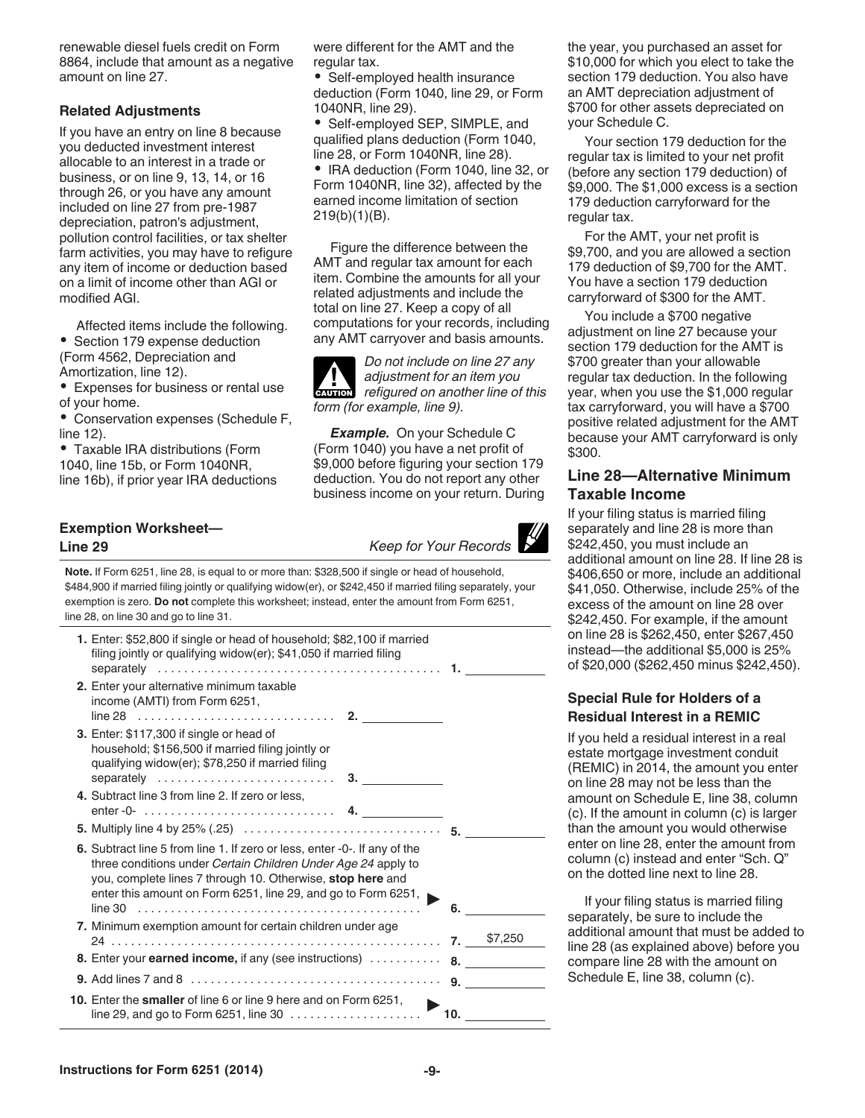renewable diesel fuels credit on Form 8864, include that amount as a negative amount on line 27.

#### **Related Adjustments**

If you have an entry on line 8 because you deducted investment interest allocable to an interest in a trade or business, or on line 9, 13, 14, or 16 through 26, or you have any amount included on line 27 from pre-1987 depreciation, patron's adjustment, pollution control facilities, or tax shelter farm activities, you may have to refigure any item of income or deduction based on a limit of income other than AGI or modified AGI.

Affected items include the following. • Section 179 expense deduction (Form 4562, Depreciation and Amortization, line 12).

Expenses for business or rental use of your home.

Conservation expenses (Schedule F, line 12).

Taxable IRA distributions (Form 1040, line 15b, or Form 1040NR, line 16b), if prior year IRA deductions

# **Exemption Worksheet—**

were different for the AMT and the regular tax.

• Self-employed health insurance deduction (Form 1040, line 29, or Form 1040NR, line 29).

• Self-employed SEP, SIMPLE, and qualified plans deduction (Form 1040, line 28, or Form 1040NR, line 28).

• IRA deduction (Form 1040, line 32, or Form 1040NR, line 32), affected by the earned income limitation of section 219(b)(1)(B).

Figure the difference between the AMT and regular tax amount for each item. Combine the amounts for all your related adjustments and include the total on line 27. Keep a copy of all computations for your records, including any AMT carryover and basis amounts.

*Do not include on line 27 any adjustment for an item you refigured on another line of this*<br> *enomeration another line of this form (for example, line 9).*

*Example.* On your Schedule C (Form 1040) you have a net profit of \$9,000 before figuring your section 179 deduction. You do not report any other business income on your return. During



**Note.** If Form 6251, line 28, is equal to or more than: \$328,500 if single or head of household, \$484,900 if married filing jointly or qualifying widow(er), or \$242,450 if married filing separately, your exemption is zero. **Do not** complete this worksheet; instead, enter the amount from Form 6251, line 28, on line 30 and go to line 31.

| 1. Enter: \$52,800 if single or head of household; \$82,100 if married<br>filing jointly or qualifying widow(er); \$41,050 if married filing                                                                                                                              |     |    |
|---------------------------------------------------------------------------------------------------------------------------------------------------------------------------------------------------------------------------------------------------------------------------|-----|----|
| 2. Enter your alternative minimum taxable<br>income (AMTI) from Form 6251,                                                                                                                                                                                                |     |    |
| 3. Enter: \$117,300 if single or head of<br>household; \$156,500 if married filing jointly or<br>qualifying widow(er); \$78,250 if married filing<br>separately  3.                                                                                                       |     |    |
| 4. Subtract line 3 from line 2. If zero or less,                                                                                                                                                                                                                          |     |    |
| 5. Multiply line 4 by 25% (.25) $\ldots \ldots \ldots \ldots \ldots \ldots \ldots \ldots \ldots$                                                                                                                                                                          |     |    |
| 6. Subtract line 5 from line 1. If zero or less, enter -0-. If any of the<br>three conditions under Certain Children Under Age 24 apply to<br>you, complete lines 7 through 10. Otherwise, stop here and<br>enter this amount on Form 6251, line 29, and go to Form 6251, |     |    |
|                                                                                                                                                                                                                                                                           | 6.  |    |
| 7. Minimum exemption amount for certain children under age                                                                                                                                                                                                                |     |    |
| 8. Enter your earned income, if any (see instructions)                                                                                                                                                                                                                    |     | 8. |
|                                                                                                                                                                                                                                                                           |     |    |
| 10. Enter the smaller of line 6 or line 9 here and on Form 6251,<br>line 29, and go to Form 6251, line 30 $\ldots$                                                                                                                                                        | 10. |    |

the year, you purchased an asset for \$10,000 for which you elect to take the section 179 deduction. You also have an AMT depreciation adjustment of \$700 for other assets depreciated on your Schedule C.

Your section 179 deduction for the regular tax is limited to your net profit (before any section 179 deduction) of \$9,000. The \$1,000 excess is a section 179 deduction carryforward for the regular tax.

For the AMT, your net profit is \$9,700, and you are allowed a section 179 deduction of \$9,700 for the AMT. You have a section 179 deduction carryforward of \$300 for the AMT.

You include a \$700 negative adjustment on line 27 because your section 179 deduction for the AMT is \$700 greater than your allowable regular tax deduction. In the following year, when you use the \$1,000 regular tax carryforward, you will have a \$700 positive related adjustment for the AMT because your AMT carryforward is only \$300.

#### **Line 28—Alternative Minimum Taxable Income**

If your filing status is married filing separately and line 28 is more than \$242,450, you must include an additional amount on line 28. If line 28 is \$406,650 or more, include an additional \$41,050. Otherwise, include 25% of the excess of the amount on line 28 over \$242,450. For example, if the amount on line 28 is \$262,450, enter \$267,450 instead—the additional \$5,000 is 25% of \$20,000 (\$262,450 minus \$242,450).

#### **Special Rule for Holders of a Residual Interest in a REMIC**

If you held a residual interest in a real estate mortgage investment conduit (REMIC) in 2014, the amount you enter on line 28 may not be less than the amount on Schedule E, line 38, column (c). If the amount in column (c) is larger than the amount you would otherwise enter on line 28, enter the amount from column (c) instead and enter "Sch. Q" on the dotted line next to line 28.

If your filing status is married filing separately, be sure to include the additional amount that must be added to line 28 (as explained above) before you compare line 28 with the amount on Schedule E, line 38, column (c).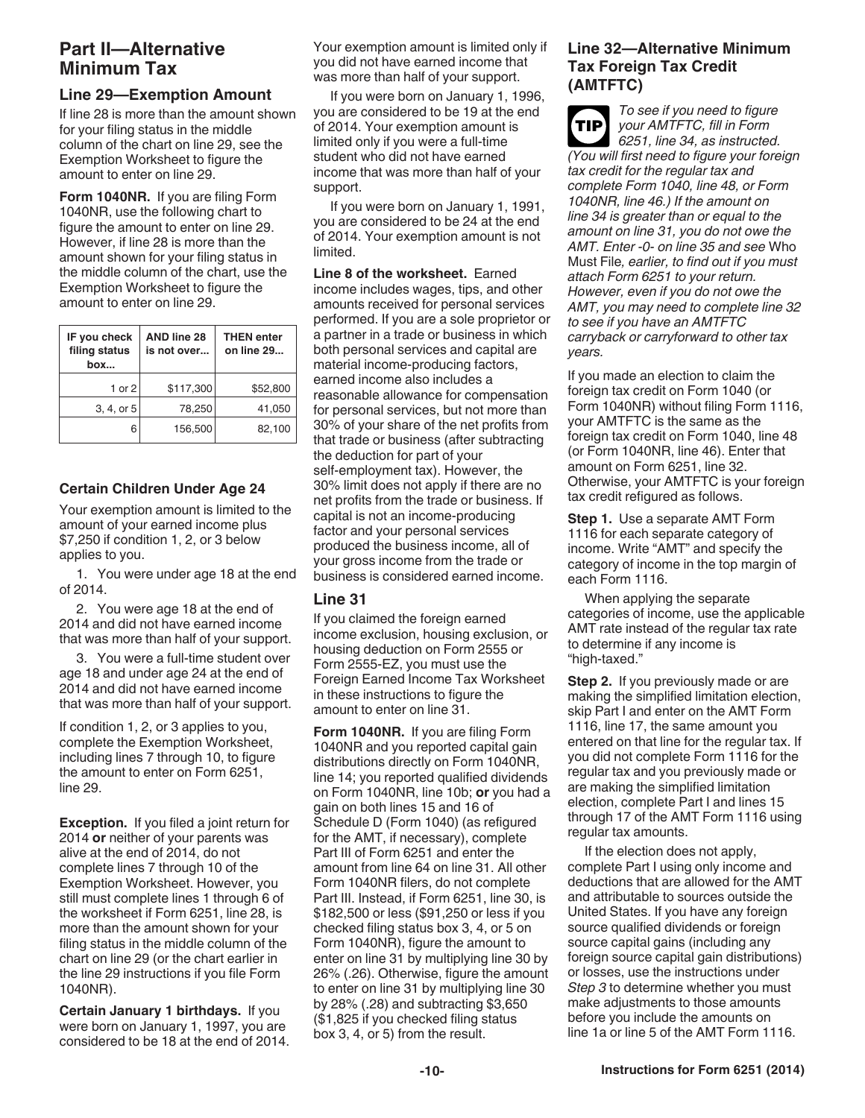# **Part II—Alternative Minimum Tax**

#### **Line 29—Exemption Amount**

If line 28 is more than the amount shown for your filing status in the middle column of the chart on line 29, see the Exemption Worksheet to figure the amount to enter on line 29.

**Form 1040NR.** If you are filing Form 1040NR, use the following chart to figure the amount to enter on line 29. However, if line 28 is more than the amount shown for your filing status in the middle column of the chart, use the Exemption Worksheet to figure the amount to enter on line 29.

| IF you check<br>filing status<br>box | <b>AND line 28</b><br>is not over | <b>THEN enter</b><br>on line 29 |
|--------------------------------------|-----------------------------------|---------------------------------|
| 1 or $21$                            | \$117,300                         | \$52,800                        |
| 3, 4, or 5                           | 78.250                            | 41,050                          |
| 6                                    | 156.500                           | 82.100                          |

#### **Certain Children Under Age 24**

Your exemption amount is limited to the amount of your earned income plus \$7,250 if condition 1, 2, or 3 below applies to you.

1. You were under age 18 at the end of 2014.

2. You were age 18 at the end of 2014 and did not have earned income that was more than half of your support.

3. You were a full-time student over age 18 and under age 24 at the end of 2014 and did not have earned income that was more than half of your support.

If condition 1, 2, or 3 applies to you, complete the Exemption Worksheet, including lines 7 through 10, to figure the amount to enter on Form 6251, line 29.

**Exception.** If you filed a joint return for 2014 **or** neither of your parents was alive at the end of 2014, do not complete lines 7 through 10 of the Exemption Worksheet. However, you still must complete lines 1 through 6 of the worksheet if Form 6251, line 28, is more than the amount shown for your filing status in the middle column of the chart on line 29 (or the chart earlier in the line 29 instructions if you file Form 1040NR).

**Certain January 1 birthdays.** If you were born on January 1, 1997, you are considered to be 18 at the end of 2014. Your exemption amount is limited only if you did not have earned income that was more than half of your support.

If you were born on January 1, 1996, you are considered to be 19 at the end of 2014. Your exemption amount is limited only if you were a full-time student who did not have earned income that was more than half of your support.

If you were born on January 1, 1991, you are considered to be 24 at the end of 2014. Your exemption amount is not limited.

**Line 8 of the worksheet.** Earned income includes wages, tips, and other amounts received for personal services performed. If you are a sole proprietor or a partner in a trade or business in which both personal services and capital are material income-producing factors, earned income also includes a reasonable allowance for compensation for personal services, but not more than 30% of your share of the net profits from that trade or business (after subtracting the deduction for part of your self-employment tax). However, the 30% limit does not apply if there are no net profits from the trade or business. If capital is not an income-producing factor and your personal services produced the business income, all of your gross income from the trade or business is considered earned income.

#### **Line 31**

If you claimed the foreign earned income exclusion, housing exclusion, or housing deduction on Form 2555 or Form 2555-EZ, you must use the Foreign Earned Income Tax Worksheet in these instructions to figure the amount to enter on line 31.

**Form 1040NR.** If you are filing Form 1040NR and you reported capital gain distributions directly on Form 1040NR, line 14; you reported qualified dividends on Form 1040NR, line 10b; **or** you had a gain on both lines 15 and 16 of Schedule D (Form 1040) (as refigured for the AMT, if necessary), complete Part III of Form 6251 and enter the amount from line 64 on line 31. All other Form 1040NR filers, do not complete Part III. Instead, if Form 6251, line 30, is \$182,500 or less (\$91,250 or less if you checked filing status box 3, 4, or 5 on Form 1040NR), figure the amount to enter on line 31 by multiplying line 30 by 26% (.26). Otherwise, figure the amount to enter on line 31 by multiplying line 30 by 28% (.28) and subtracting \$3,650 (\$1,825 if you checked filing status box 3, 4, or 5) from the result.

#### **Line 32—Alternative Minimum Tax Foreign Tax Credit (AMTFTC)**

*To see if you need to figure your AMTFTC, fill in Form 6251, line 34, as instructed. (You will first need to figure your foreign tax credit for the regular tax and complete Form 1040, line 48, or Form 1040NR, line 46.) If the amount on line 34 is greater than or equal to the amount on line 31, you do not owe the AMT. Enter -0- on line 35 and see* Who Must File*, earlier, to find out if you must attach Form 6251 to your return. However, even if you do not owe the AMT, you may need to complete line 32 to see if you have an AMTFTC carryback or carryforward to other tax years.* **TIP**

If you made an election to claim the foreign tax credit on Form 1040 (or Form 1040NR) without filing Form 1116, your AMTFTC is the same as the foreign tax credit on Form 1040, line 48 (or Form 1040NR, line 46). Enter that amount on Form 6251, line 32. Otherwise, your AMTFTC is your foreign tax credit refigured as follows.

**Step 1.** Use a separate AMT Form 1116 for each separate category of income. Write "AMT" and specify the category of income in the top margin of each Form 1116.

When applying the separate categories of income, use the applicable AMT rate instead of the regular tax rate to determine if any income is "high-taxed."

**Step 2.** If you previously made or are making the simplified limitation election, skip Part I and enter on the AMT Form 1116, line 17, the same amount you entered on that line for the regular tax. If you did not complete Form 1116 for the regular tax and you previously made or are making the simplified limitation election, complete Part I and lines 15 through 17 of the AMT Form 1116 using regular tax amounts.

If the election does not apply, complete Part I using only income and deductions that are allowed for the AMT and attributable to sources outside the United States. If you have any foreign source qualified dividends or foreign source capital gains (including any foreign source capital gain distributions) or losses, use the instructions under *Step 3* to determine whether you must make adjustments to those amounts before you include the amounts on line 1a or line 5 of the AMT Form 1116.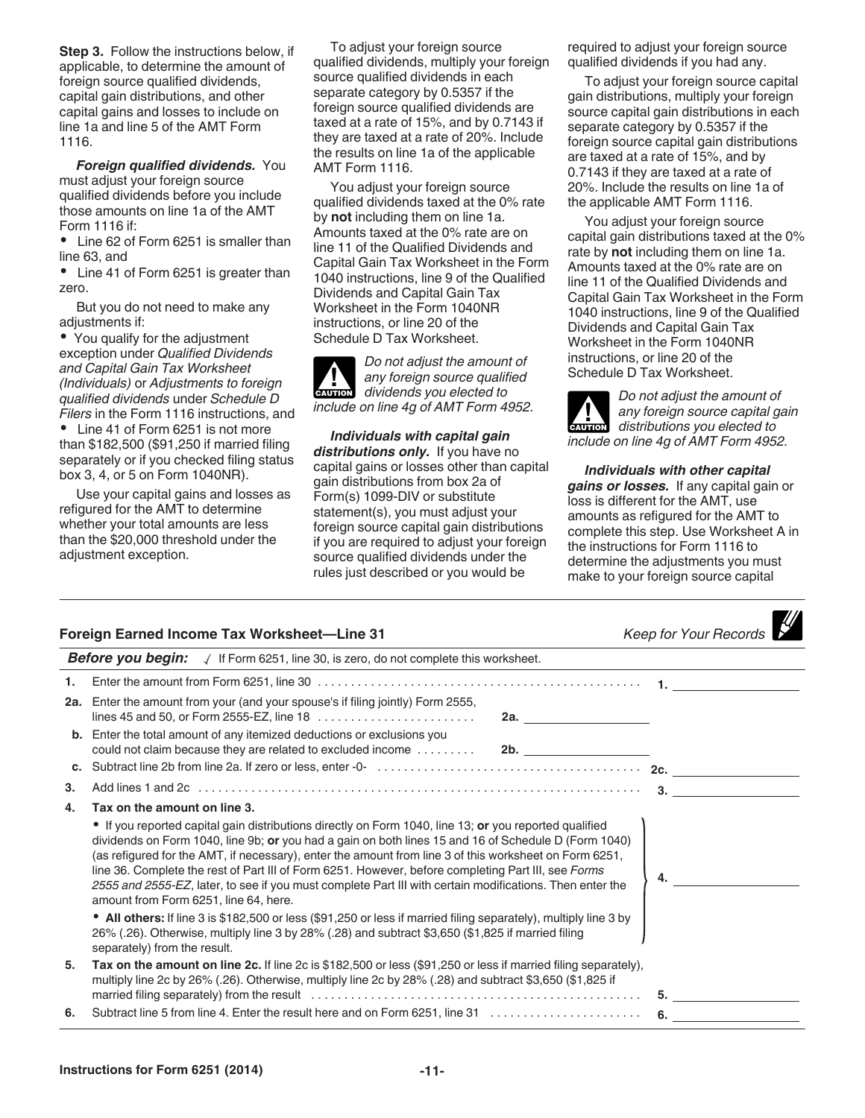**Step 3.** Follow the instructions below, if applicable, to determine the amount of foreign source qualified dividends, capital gain distributions, and other capital gains and losses to include on line 1a and line 5 of the AMT Form 1116.

*Foreign qualified dividends.* You must adjust your foreign source qualified dividends before you include those amounts on line 1a of the AMT Form 1116 if:

• Line 62 of Form 6251 is smaller than line 63, and

• Line 41 of Form 6251 is greater than zero.

But you do not need to make any adjustments if:

You qualify for the adjustment exception under *Qualified Dividends and Capital Gain Tax Worksheet (Individuals)* or *Adjustments to foreign qualified dividends* under *Schedule D Filers* in the Form 1116 instructions, and

 Line 41 of Form 6251 is not more than \$182,500 (\$91,250 if married filing separately or if you checked filing status box 3, 4, or 5 on Form 1040NR).

Use your capital gains and losses as refigured for the AMT to determine whether your total amounts are less than the \$20,000 threshold under the adjustment exception.

To adjust your foreign source qualified dividends, multiply your foreign source qualified dividends in each separate category by 0.5357 if the foreign source qualified dividends are taxed at a rate of 15%, and by 0.7143 if they are taxed at a rate of 20%. Include the results on line 1a of the applicable AMT Form 1116.

You adjust your foreign source qualified dividends taxed at the 0% rate by **not** including them on line 1a. Amounts taxed at the 0% rate are on line 11 of the Qualified Dividends and Capital Gain Tax Worksheet in the Form 1040 instructions, line 9 of the Qualified Dividends and Capital Gain Tax Worksheet in the Form 1040NR instructions, or line 20 of the Schedule D Tax Worksheet.

*Do not adjust the amount of any foreign source qualified*  **dividends you elected to dividends** you elected to *include on line 4g of AMT Form 4952.*

*Individuals with capital gain*  distributions only. If you have no capital gains or losses other than capital gain distributions from box 2a of Form(s) 1099-DIV or substitute statement(s), you must adjust your foreign source capital gain distributions if you are required to adjust your foreign source qualified dividends under the rules just described or you would be

required to adjust your foreign source qualified dividends if you had any.

To adjust your foreign source capital gain distributions, multiply your foreign source capital gain distributions in each separate category by 0.5357 if the foreign source capital gain distributions are taxed at a rate of 15%, and by 0.7143 if they are taxed at a rate of 20%. Include the results on line 1a of the applicable AMT Form 1116.

You adjust your foreign source capital gain distributions taxed at the 0% rate by **not** including them on line 1a. Amounts taxed at the 0% rate are on line 11 of the Qualified Dividends and Capital Gain Tax Worksheet in the Form 1040 instructions, line 9 of the Qualified Dividends and Capital Gain Tax Worksheet in the Form 1040NR instructions, or line 20 of the Schedule D Tax Worksheet.

*Do not adjust the amount of any foreign source capital gain*  **distributions you elected to**  $\frac{d}{dx}$  distributions you elected to *include on line 4g of AMT Form 4952.*

*Individuals with other capital gains or losses.* If any capital gain or loss is different for the AMT, use amounts as refigured for the AMT to complete this step. Use Worksheet A in the instructions for Form 1116 to determine the adjustments you must make to your foreign source capital

|                                                                                                                                                                                                                                                                                                                                                                                                                                                                                                                                                                                      | Foreign Earned Income Tax Worksheet-Line 31                                                                                                                                                                                                            | <b>Keep for Your Records</b> |  |
|--------------------------------------------------------------------------------------------------------------------------------------------------------------------------------------------------------------------------------------------------------------------------------------------------------------------------------------------------------------------------------------------------------------------------------------------------------------------------------------------------------------------------------------------------------------------------------------|--------------------------------------------------------------------------------------------------------------------------------------------------------------------------------------------------------------------------------------------------------|------------------------------|--|
|                                                                                                                                                                                                                                                                                                                                                                                                                                                                                                                                                                                      | <b>Before you begin:</b> $\sqrt{ }$ If Form 6251, line 30, is zero, do not complete this worksheet.                                                                                                                                                    |                              |  |
| 1.                                                                                                                                                                                                                                                                                                                                                                                                                                                                                                                                                                                   |                                                                                                                                                                                                                                                        |                              |  |
| 2a.                                                                                                                                                                                                                                                                                                                                                                                                                                                                                                                                                                                  | Enter the amount from your (and your spouse's if filing jointly) Form 2555,<br>lines 45 and 50, or Form 2555-EZ, line 18                                                                                                                               |                              |  |
|                                                                                                                                                                                                                                                                                                                                                                                                                                                                                                                                                                                      | <b>b.</b> Enter the total amount of any itemized deductions or exclusions you                                                                                                                                                                          |                              |  |
|                                                                                                                                                                                                                                                                                                                                                                                                                                                                                                                                                                                      |                                                                                                                                                                                                                                                        |                              |  |
| 3.                                                                                                                                                                                                                                                                                                                                                                                                                                                                                                                                                                                   |                                                                                                                                                                                                                                                        |                              |  |
| 4.                                                                                                                                                                                                                                                                                                                                                                                                                                                                                                                                                                                   | Tax on the amount on line 3.                                                                                                                                                                                                                           |                              |  |
| • If you reported capital gain distributions directly on Form 1040, line 13; or you reported qualified<br>dividends on Form 1040, line 9b; or you had a gain on both lines 15 and 16 of Schedule D (Form 1040)<br>(as refigured for the AMT, if necessary), enter the amount from line 3 of this worksheet on Form 6251,<br>line 36. Complete the rest of Part III of Form 6251. However, before completing Part III, see Forms<br>2555 and 2555-EZ, later, to see if you must complete Part III with certain modifications. Then enter the<br>amount from Form 6251, line 64, here. |                                                                                                                                                                                                                                                        | 4.                           |  |
|                                                                                                                                                                                                                                                                                                                                                                                                                                                                                                                                                                                      | • All others: If line 3 is \$182,500 or less (\$91,250 or less if married filing separately), multiply line 3 by<br>26% (.26). Otherwise, multiply line 3 by 28% (.28) and subtract \$3,650 (\$1,825 if married filing<br>separately) from the result. |                              |  |
| 5.                                                                                                                                                                                                                                                                                                                                                                                                                                                                                                                                                                                   | Tax on the amount on line 2c. If line 2c is \$182,500 or less (\$91,250 or less if married filing separately),<br>multiply line 2c by 26% (.26). Otherwise, multiply line 2c by 28% (.28) and subtract \$3,650 (\$1,825 if                             |                              |  |
| 6.                                                                                                                                                                                                                                                                                                                                                                                                                                                                                                                                                                                   | Subtract line 5 from line 4. Enter the result here and on Form 6251, line 31 <i>mandatures</i> from the state of the s                                                                                                                                 | 6.                           |  |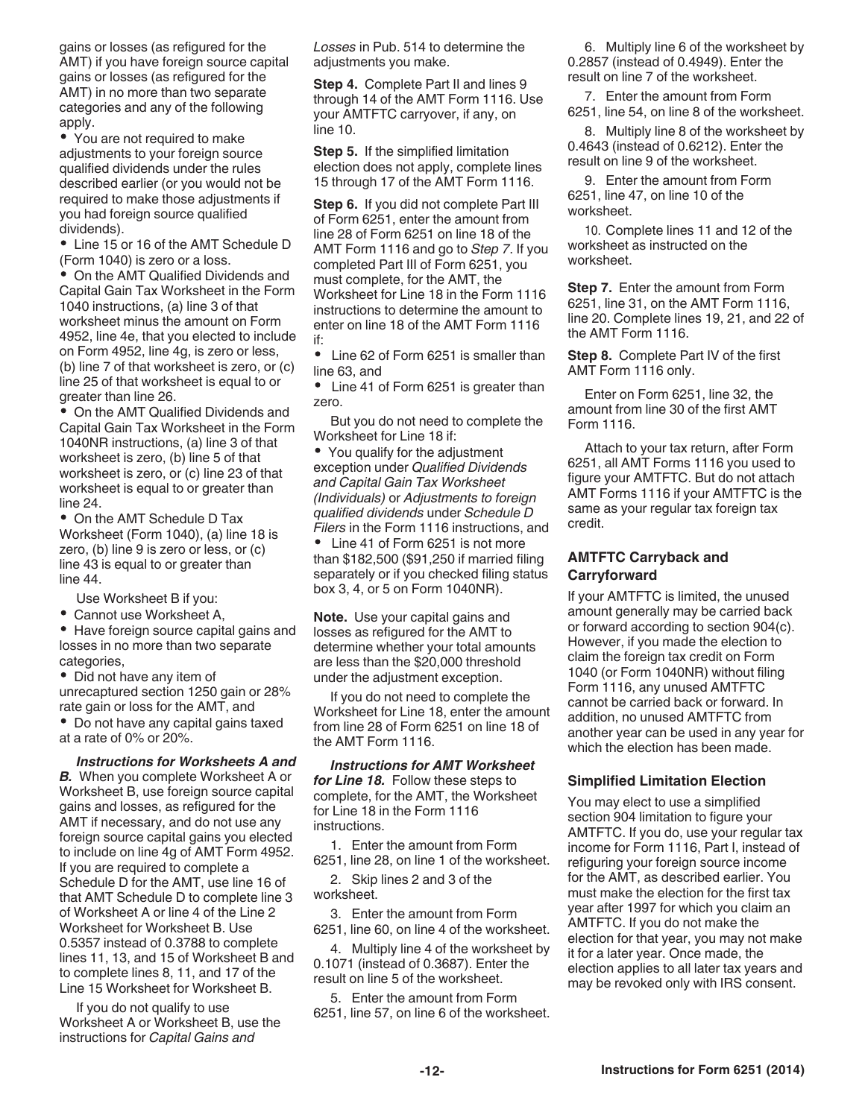gains or losses (as refigured for the AMT) if you have foreign source capital gains or losses (as refigured for the AMT) in no more than two separate categories and any of the following apply.

• You are not required to make adjustments to your foreign source qualified dividends under the rules described earlier (or you would not be required to make those adjustments if you had foreign source qualified dividends).

Line 15 or 16 of the AMT Schedule D (Form 1040) is zero or a loss.

On the AMT Qualified Dividends and Capital Gain Tax Worksheet in the Form 1040 instructions, (a) line 3 of that worksheet minus the amount on Form 4952, line 4e, that you elected to include on Form 4952, line 4g, is zero or less, (b) line 7 of that worksheet is zero, or (c) line 25 of that worksheet is equal to or greater than line 26.

On the AMT Qualified Dividends and Capital Gain Tax Worksheet in the Form 1040NR instructions, (a) line 3 of that worksheet is zero, (b) line 5 of that worksheet is zero, or (c) line 23 of that worksheet is equal to or greater than line 24.

On the AMT Schedule D Tax Worksheet (Form 1040), (a) line 18 is zero, (b) line 9 is zero or less, or (c) line 43 is equal to or greater than line 44.

Use Worksheet B if you:

Cannot use Worksheet A,

• Have foreign source capital gains and losses in no more than two separate categories,

• Did not have any item of unrecaptured section 1250 gain or 28%

rate gain or loss for the AMT, and Do not have any capital gains taxed

at a rate of 0% or 20%.

*Instructions for Worksheets A and* 

**B.** When you complete Worksheet A or Worksheet B, use foreign source capital gains and losses, as refigured for the AMT if necessary, and do not use any foreign source capital gains you elected to include on line 4g of AMT Form 4952. If you are required to complete a Schedule D for the AMT, use line 16 of that AMT Schedule D to complete line 3 of Worksheet A or line 4 of the Line 2 Worksheet for Worksheet B. Use 0.5357 instead of 0.3788 to complete lines 11, 13, and 15 of Worksheet B and to complete lines 8, 11, and 17 of the Line 15 Worksheet for Worksheet B.

If you do not qualify to use Worksheet A or Worksheet B, use the instructions for *Capital Gains and* 

*Losses* in Pub. 514 to determine the adjustments you make.

**Step 4.** Complete Part II and lines 9 through 14 of the AMT Form 1116. Use your AMTFTC carryover, if any, on line 10.

**Step 5.** If the simplified limitation election does not apply, complete lines 15 through 17 of the AMT Form 1116.

**Step 6.** If you did not complete Part III of Form 6251, enter the amount from line 28 of Form 6251 on line 18 of the AMT Form 1116 and go to *Step 7*. If you completed Part III of Form 6251, you must complete, for the AMT, the Worksheet for Line 18 in the Form 1116 instructions to determine the amount to enter on line 18 of the AMT Form 1116 if:

 Line 62 of Form 6251 is smaller than line 63, and

• Line 41 of Form 6251 is greater than zero.

But you do not need to complete the Worksheet for Line 18 if:

You qualify for the adjustment exception under *Qualified Dividends and Capital Gain Tax Worksheet (Individuals)* or *Adjustments to foreign qualified dividends* under *Schedule D Filers* in the Form 1116 instructions, and

 Line 41 of Form 6251 is not more than \$182,500 (\$91,250 if married filing separately or if you checked filing status box 3, 4, or 5 on Form 1040NR).

**Note.** Use your capital gains and losses as refigured for the AMT to determine whether your total amounts are less than the \$20,000 threshold under the adjustment exception.

If you do not need to complete the Worksheet for Line 18, enter the amount from line 28 of Form 6251 on line 18 of the AMT Form 1116.

*Instructions for AMT Worksheet for Line 18.* Follow these steps to complete, for the AMT, the Worksheet for Line 18 in the Form 1116 instructions.

1. Enter the amount from Form 6251, line 28, on line 1 of the worksheet.

2. Skip lines 2 and 3 of the worksheet.

3. Enter the amount from Form 6251, line 60, on line 4 of the worksheet.

4. Multiply line 4 of the worksheet by 0.1071 (instead of 0.3687). Enter the result on line 5 of the worksheet.

5. Enter the amount from Form 6251, line 57, on line 6 of the worksheet.

6. Multiply line 6 of the worksheet by 0.2857 (instead of 0.4949). Enter the result on line 7 of the worksheet.

7. Enter the amount from Form 6251, line 54, on line 8 of the worksheet.

8. Multiply line 8 of the worksheet by 0.4643 (instead of 0.6212). Enter the result on line 9 of the worksheet.

9. Enter the amount from Form 6251, line 47, on line 10 of the worksheet.

10. Complete lines 11 and 12 of the worksheet as instructed on the worksheet.

**Step 7.** Enter the amount from Form 6251, line 31, on the AMT Form 1116, line 20. Complete lines 19, 21, and 22 of the AMT Form 1116.

**Step 8.** Complete Part IV of the first AMT Form 1116 only.

Enter on Form 6251, line 32, the amount from line 30 of the first AMT Form 1116.

Attach to your tax return, after Form 6251, all AMT Forms 1116 you used to figure your AMTFTC. But do not attach AMT Forms 1116 if your AMTFTC is the same as your regular tax foreign tax credit.

#### **AMTFTC Carryback and Carryforward**

If your AMTFTC is limited, the unused amount generally may be carried back or forward according to section 904(c). However, if you made the election to claim the foreign tax credit on Form 1040 (or Form 1040NR) without filing Form 1116, any unused AMTFTC cannot be carried back or forward. In addition, no unused AMTFTC from another year can be used in any year for which the election has been made.

#### **Simplified Limitation Election**

You may elect to use a simplified section 904 limitation to figure your AMTFTC. If you do, use your regular tax income for Form 1116, Part I, instead of refiguring your foreign source income for the AMT, as described earlier. You must make the election for the first tax year after 1997 for which you claim an AMTFTC. If you do not make the election for that year, you may not make it for a later year. Once made, the election applies to all later tax years and may be revoked only with IRS consent.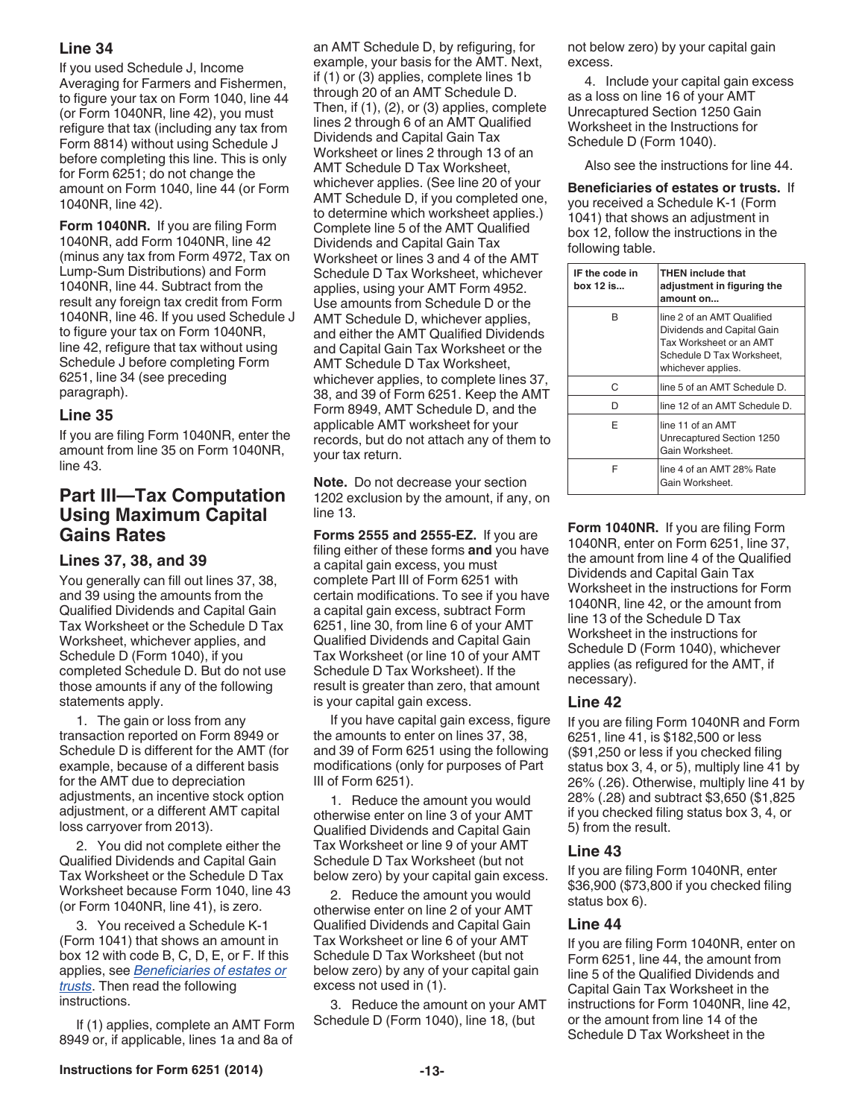#### **Line 34**

If you used Schedule J, Income Averaging for Farmers and Fishermen, to figure your tax on Form 1040, line 44 (or Form 1040NR, line 42), you must refigure that tax (including any tax from Form 8814) without using Schedule J before completing this line. This is only for Form 6251; do not change the amount on Form 1040, line 44 (or Form 1040NR, line 42).

**Form 1040NR.** If you are filing Form 1040NR, add Form 1040NR, line 42 (minus any tax from Form 4972, Tax on Lump-Sum Distributions) and Form 1040NR, line 44. Subtract from the result any foreign tax credit from Form 1040NR, line 46. If you used Schedule J to figure your tax on Form 1040NR, line 42, refigure that tax without using Schedule J before completing Form 6251, line 34 (see preceding paragraph).

#### **Line 35**

If you are filing Form 1040NR, enter the amount from line 35 on Form 1040NR, line 43.

# **Part III—Tax Computation Using Maximum Capital Gains Rates**

#### **Lines 37, 38, and 39**

You generally can fill out lines 37, 38, and 39 using the amounts from the Qualified Dividends and Capital Gain Tax Worksheet or the Schedule D Tax Worksheet, whichever applies, and Schedule D (Form 1040), if you completed Schedule D. But do not use those amounts if any of the following statements apply.

1. The gain or loss from any transaction reported on Form 8949 or Schedule D is different for the AMT (for example, because of a different basis for the AMT due to depreciation adjustments, an incentive stock option adjustment, or a different AMT capital loss carryover from 2013).

2. You did not complete either the Qualified Dividends and Capital Gain Tax Worksheet or the Schedule D Tax Worksheet because Form 1040, line 43 (or Form 1040NR, line 41), is zero.

3. You received a Schedule K-1 (Form 1041) that shows an amount in box 12 with code B, C, D, E, or F. If this applies, see *Beneficiaries of estates or trusts*. Then read the following instructions.

If (1) applies, complete an AMT Form 8949 or, if applicable, lines 1a and 8a of

an AMT Schedule D, by refiguring, for example, your basis for the AMT. Next, if (1) or (3) applies, complete lines 1b through 20 of an AMT Schedule D. Then, if (1), (2), or (3) applies, complete lines 2 through 6 of an AMT Qualified Dividends and Capital Gain Tax Worksheet or lines 2 through 13 of an AMT Schedule D Tax Worksheet, whichever applies. (See line 20 of your AMT Schedule D, if you completed one, to determine which worksheet applies.) Complete line 5 of the AMT Qualified Dividends and Capital Gain Tax Worksheet or lines 3 and 4 of the AMT Schedule D Tax Worksheet, whichever applies, using your AMT Form 4952. Use amounts from Schedule D or the AMT Schedule D, whichever applies, and either the AMT Qualified Dividends and Capital Gain Tax Worksheet or the AMT Schedule D Tax Worksheet, whichever applies, to complete lines 37, 38, and 39 of Form 6251. Keep the AMT Form 8949, AMT Schedule D, and the applicable AMT worksheet for your records, but do not attach any of them to your tax return.

**Note.** Do not decrease your section 1202 exclusion by the amount, if any, on line 13.

**Forms 2555 and 2555-EZ.** If you are filing either of these forms **and** you have a capital gain excess, you must complete Part III of Form 6251 with certain modifications. To see if you have a capital gain excess, subtract Form 6251, line 30, from line 6 of your AMT Qualified Dividends and Capital Gain Tax Worksheet (or line 10 of your AMT Schedule D Tax Worksheet). If the result is greater than zero, that amount is your capital gain excess.

If you have capital gain excess, figure the amounts to enter on lines 37, 38, and 39 of Form 6251 using the following modifications (only for purposes of Part III of Form 6251).

1. Reduce the amount you would otherwise enter on line 3 of your AMT Qualified Dividends and Capital Gain Tax Worksheet or line 9 of your AMT Schedule D Tax Worksheet (but not below zero) by your capital gain excess.

2. Reduce the amount you would otherwise enter on line 2 of your AMT Qualified Dividends and Capital Gain Tax Worksheet or line 6 of your AMT Schedule D Tax Worksheet (but not below zero) by any of your capital gain excess not used in (1).

3. Reduce the amount on your AMT Schedule D (Form 1040), line 18, (but

not below zero) by your capital gain excess.

4. Include your capital gain excess as a loss on line 16 of your AMT Unrecaptured Section 1250 Gain Worksheet in the Instructions for Schedule D (Form 1040).

Also see the instructions for line 44.

**Beneficiaries of estates or trusts.** If you received a Schedule K-1 (Form 1041) that shows an adjustment in box 12, follow the instructions in the following table.

| IF the code in<br>box 12 is | <b>THEN include that</b><br>adjustment in figuring the<br>amount on                                                                    |
|-----------------------------|----------------------------------------------------------------------------------------------------------------------------------------|
| R                           | line 2 of an AMT Qualified<br>Dividends and Capital Gain<br>Tax Worksheet or an AMT<br>Schedule D Tax Worksheet,<br>whichever applies. |
| C                           | line 5 of an AMT Schedule D.                                                                                                           |
| D                           | line 12 of an AMT Schedule D.                                                                                                          |
| F                           | line 11 of an AMT<br>Unrecaptured Section 1250<br>Gain Worksheet.                                                                      |
| F                           | line 4 of an AMT 28% Rate<br>Gain Worksheet.                                                                                           |

**Form 1040NR.** If you are filing Form 1040NR, enter on Form 6251, line 37, the amount from line 4 of the Qualified Dividends and Capital Gain Tax Worksheet in the instructions for Form 1040NR, line 42, or the amount from line 13 of the Schedule D Tax Worksheet in the instructions for Schedule D (Form 1040), whichever applies (as refigured for the AMT, if necessary).

#### **Line 42**

If you are filing Form 1040NR and Form 6251, line 41, is \$182,500 or less (\$91,250 or less if you checked filing status box 3, 4, or 5), multiply line 41 by 26% (.26). Otherwise, multiply line 41 by 28% (.28) and subtract \$3,650 (\$1,825 if you checked filing status box 3, 4, or 5) from the result.

#### **Line 43**

If you are filing Form 1040NR, enter \$36,900 (\$73,800 if you checked filing status box 6).

#### **Line 44**

If you are filing Form 1040NR, enter on Form 6251, line 44, the amount from line 5 of the Qualified Dividends and Capital Gain Tax Worksheet in the instructions for Form 1040NR, line 42, or the amount from line 14 of the Schedule D Tax Worksheet in the